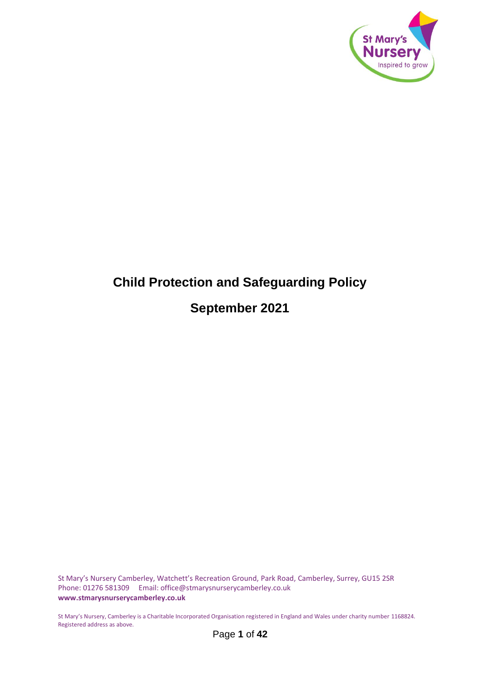

# <span id="page-0-0"></span>**Child Protection and Safeguarding Policy September 2021**

St Mary's Nursery Camberley, Watchett's Recreation Ground, Park Road, Camberley, Surrey, GU15 2SR Phone: 01276 581309 Email: office@stmarysnurserycamberley.co.uk **www.stmarysnurserycamberley.co.uk**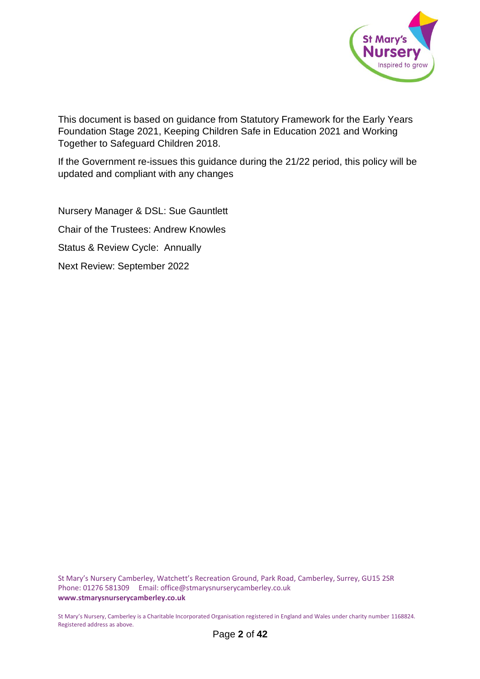

This document is based on guidance from Statutory Framework for the Early Years Foundation Stage 2021, Keeping Children Safe in Education 2021 and Working Together to Safeguard Children 2018.

If the Government re-issues this guidance during the 21/22 period, this policy will be updated and compliant with any changes

Nursery Manager & DSL: Sue Gauntlett Chair of the Trustees: Andrew Knowles Status & Review Cycle: Annually Next Review: September 2022

St Mary's Nursery Camberley, Watchett's Recreation Ground, Park Road, Camberley, Surrey, GU15 2SR Phone: 01276 581309 Email: office@stmarysnurserycamberley.co.uk **www.stmarysnurserycamberley.co.uk**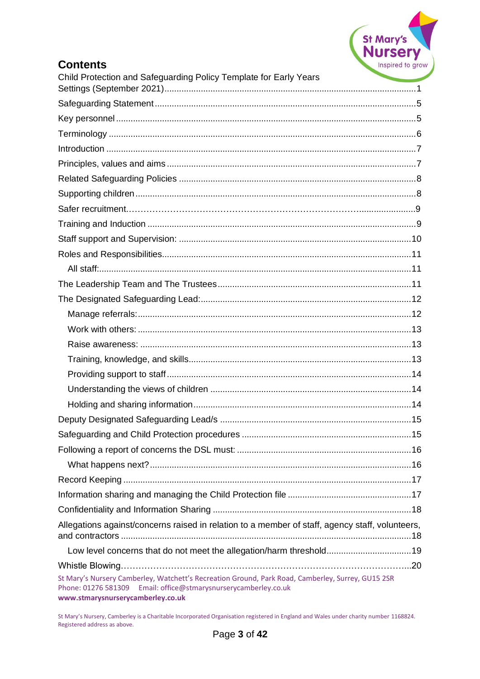

# **Contents**

| Child Protection and Safeguarding Policy Template for Early Years                                                                                                                                         |  |
|-----------------------------------------------------------------------------------------------------------------------------------------------------------------------------------------------------------|--|
|                                                                                                                                                                                                           |  |
|                                                                                                                                                                                                           |  |
|                                                                                                                                                                                                           |  |
|                                                                                                                                                                                                           |  |
|                                                                                                                                                                                                           |  |
|                                                                                                                                                                                                           |  |
|                                                                                                                                                                                                           |  |
|                                                                                                                                                                                                           |  |
|                                                                                                                                                                                                           |  |
|                                                                                                                                                                                                           |  |
|                                                                                                                                                                                                           |  |
|                                                                                                                                                                                                           |  |
|                                                                                                                                                                                                           |  |
|                                                                                                                                                                                                           |  |
|                                                                                                                                                                                                           |  |
|                                                                                                                                                                                                           |  |
|                                                                                                                                                                                                           |  |
|                                                                                                                                                                                                           |  |
|                                                                                                                                                                                                           |  |
|                                                                                                                                                                                                           |  |
|                                                                                                                                                                                                           |  |
|                                                                                                                                                                                                           |  |
|                                                                                                                                                                                                           |  |
|                                                                                                                                                                                                           |  |
|                                                                                                                                                                                                           |  |
|                                                                                                                                                                                                           |  |
|                                                                                                                                                                                                           |  |
|                                                                                                                                                                                                           |  |
|                                                                                                                                                                                                           |  |
| Allegations against/concerns raised in relation to a member of staff, agency staff, volunteers,                                                                                                           |  |
| Low level concerns that do not meet the allegation/harm threshold19                                                                                                                                       |  |
|                                                                                                                                                                                                           |  |
| St Mary's Nursery Camberley, Watchett's Recreation Ground, Park Road, Camberley, Surrey, GU15 2SR<br>Phone: 01276 581309 Email: office@stmarysnurserycamberley.co.uk<br>www.stmarysnurserycamberley.co.uk |  |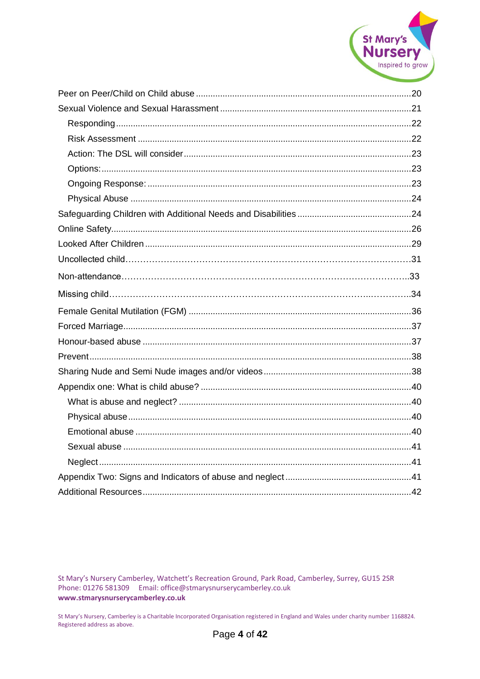

St Mary's Nursery Camberley, Watchett's Recreation Ground, Park Road, Camberley, Surrey, GU15 2SR Phone: 01276 581309 Email: office@stmarysnurserycamberley.co.uk www.stmarysnurserycamberley.co.uk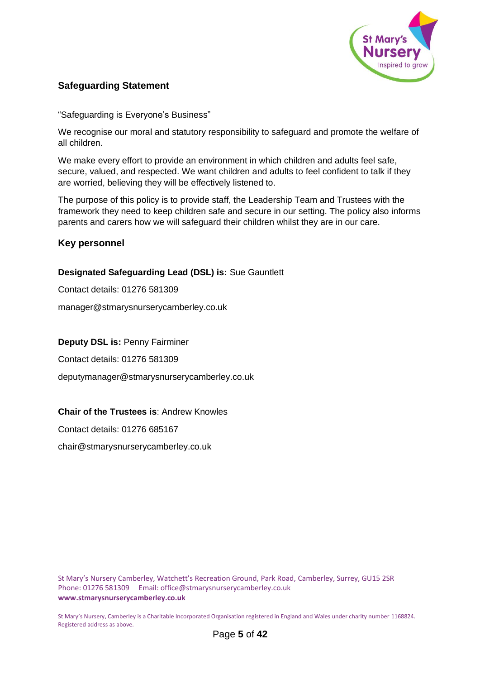

# <span id="page-4-0"></span>**Safeguarding Statement**

"Safeguarding is Everyone's Business"

We recognise our moral and statutory responsibility to safeguard and promote the welfare of all children.

We make every effort to provide an environment in which children and adults feel safe, secure, valued, and respected. We want children and adults to feel confident to talk if they are worried, believing they will be effectively listened to.

The purpose of this policy is to provide staff, the Leadership Team and Trustees with the framework they need to keep children safe and secure in our setting. The policy also informs parents and carers how we will safeguard their children whilst they are in our care.

## <span id="page-4-1"></span>**Key personnel**

## **Designated Safeguarding Lead (DSL) is:** Sue Gauntlett

Contact details: 01276 581309

manager@stmarysnurserycamberley.co.uk

#### **Deputy DSL is:** Penny Fairminer

Contact details: 01276 581309

deputymanager@stmarysnurserycamberley.co.uk

## **Chair of the Trustees is**: Andrew Knowles

Contact details: 01276 685167

chair@stmarysnurserycamberley.co.uk

St Mary's Nursery Camberley, Watchett's Recreation Ground, Park Road, Camberley, Surrey, GU15 2SR Phone: 01276 581309 Email: office@stmarysnurserycamberley.co.uk **www.stmarysnurserycamberley.co.uk**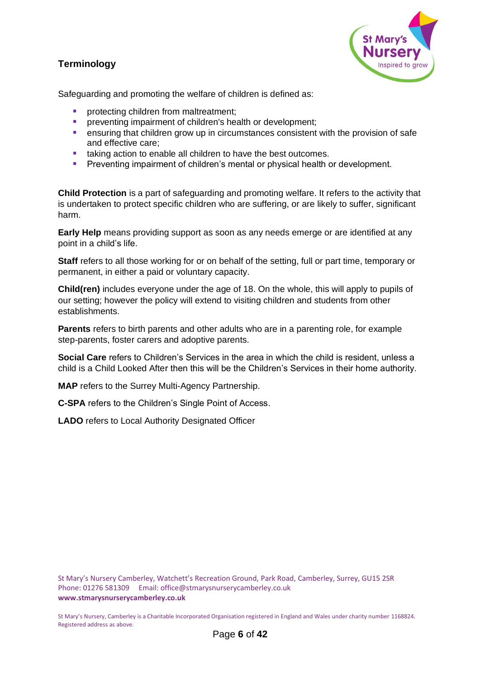# <span id="page-5-0"></span>**Terminology**



Safeguarding and promoting the welfare of children is defined as:

- protecting children from maltreatment;
- **E** preventing impairment of children's health or development;
- ensuring that children grow up in circumstances consistent with the provision of safe and effective care;
- taking action to enable all children to have the best outcomes.
- Preventing impairment of children's mental or physical health or development.

**Child Protection** is a part of safeguarding and promoting welfare. It refers to the activity that is undertaken to protect specific children who are suffering, or are likely to suffer, significant harm.

**Early Help** means providing support as soon as any needs emerge or are identified at any point in a child's life.

**Staff** refers to all those working for or on behalf of the setting, full or part time, temporary or permanent, in either a paid or voluntary capacity.

**Child(ren)** includes everyone under the age of 18. On the whole, this will apply to pupils of our setting; however the policy will extend to visiting children and students from other establishments.

**Parents** refers to birth parents and other adults who are in a parenting role, for example step-parents, foster carers and adoptive parents.

**Social Care** refers to Children's Services in the area in which the child is resident, unless a child is a Child Looked After then this will be the Children's Services in their home authority.

**MAP** refers to the Surrey Multi-Agency Partnership.

**C-SPA** refers to the Children's Single Point of Access.

**LADO** refers to Local Authority Designated Officer

St Mary's Nursery Camberley, Watchett's Recreation Ground, Park Road, Camberley, Surrey, GU15 2SR Phone: 01276 581309 Email: office@stmarysnurserycamberley.co.uk **www.stmarysnurserycamberley.co.uk**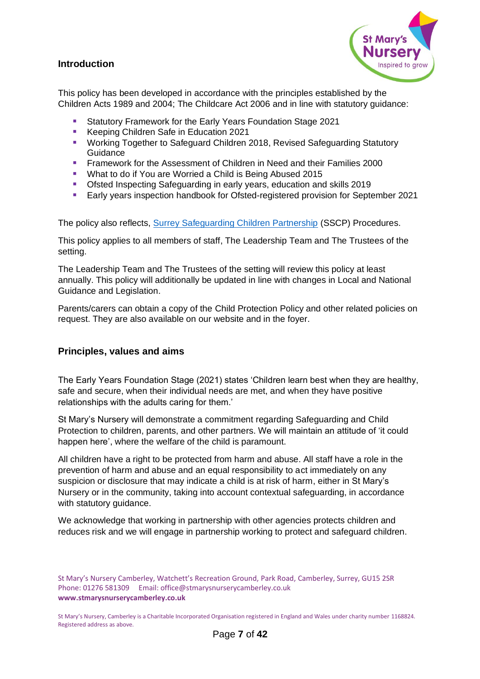## <span id="page-6-0"></span>**Introduction**



This policy has been developed in accordance with the principles established by the Children Acts 1989 and 2004; The Childcare Act 2006 and in line with statutory guidance:

- Statutory Framework for the Early Years Foundation Stage 2021
- Keeping Children Safe in Education 2021
- Working Together to Safeguard Children 2018, Revised Safeguarding Statutory **Guidance**
- Framework for the Assessment of Children in Need and their Families 2000
- What to do if You are Worried a Child is Being Abused 2015
- Ofsted Inspecting Safeguarding in early years, education and skills 2019
- Early years inspection handbook for Ofsted-registered provision for September 2021

The policy also reflects, [Surrey Safeguarding Children Partnership](https://www.surreyscp.org.uk/) (SSCP) Procedures.

This policy applies to all members of staff, The Leadership Team and The Trustees of the setting.

The Leadership Team and The Trustees of the setting will review this policy at least annually. This policy will additionally be updated in line with changes in Local and National Guidance and Legislation.

Parents/carers can obtain a copy of the Child Protection Policy and other related policies on request. They are also available on our website and in the foyer.

## <span id="page-6-1"></span>**Principles, values and aims**

The Early Years Foundation Stage (2021) states 'Children learn best when they are healthy, safe and secure, when their individual needs are met, and when they have positive relationships with the adults caring for them.'

St Mary's Nursery will demonstrate a commitment regarding Safeguarding and Child Protection to children, parents, and other partners. We will maintain an attitude of 'it could happen here', where the welfare of the child is paramount.

All children have a right to be protected from harm and abuse. All staff have a role in the prevention of harm and abuse and an equal responsibility to act immediately on any suspicion or disclosure that may indicate a child is at risk of harm, either in St Mary's Nursery or in the community, taking into account contextual safeguarding, in accordance with statutory guidance.

We acknowledge that working in partnership with other agencies protects children and reduces risk and we will engage in partnership working to protect and safeguard children.

St Mary's Nursery Camberley, Watchett's Recreation Ground, Park Road, Camberley, Surrey, GU15 2SR Phone: 01276 581309 Email: office@stmarysnurserycamberley.co.uk **www.stmarysnurserycamberley.co.uk**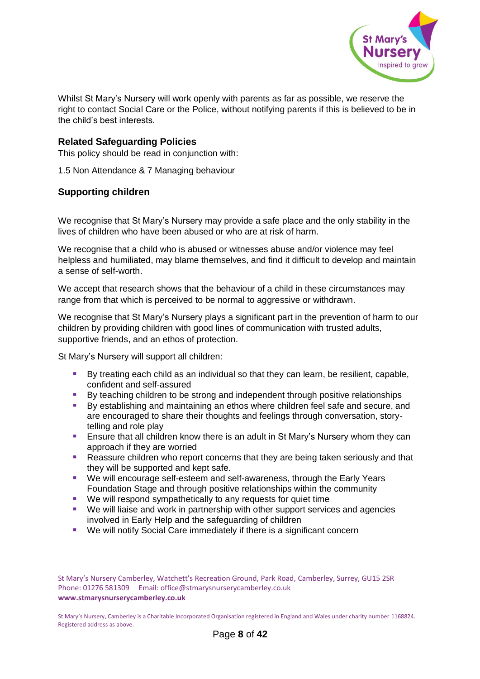

Whilst St Mary's Nursery will work openly with parents as far as possible, we reserve the right to contact Social Care or the Police, without notifying parents if this is believed to be in the child's best interests.

## <span id="page-7-0"></span>**Related Safeguarding Policies**

This policy should be read in conjunction with:

1.5 Non Attendance & 7 Managing behaviour

## <span id="page-7-1"></span>**Supporting children**

We recognise that St Mary's Nursery may provide a safe place and the only stability in the lives of children who have been abused or who are at risk of harm.

We recognise that a child who is abused or witnesses abuse and/or violence may feel helpless and humiliated, may blame themselves, and find it difficult to develop and maintain a sense of self-worth.

We accept that research shows that the behaviour of a child in these circumstances may range from that which is perceived to be normal to aggressive or withdrawn.

We recognise that St Mary's Nursery plays a significant part in the prevention of harm to our children by providing children with good lines of communication with trusted adults, supportive friends, and an ethos of protection.

St Mary's Nursery will support all children:

- By treating each child as an individual so that they can learn, be resilient, capable, confident and self-assured
- By teaching children to be strong and independent through positive relationships
- By establishing and maintaining an ethos where children feel safe and secure, and are encouraged to share their thoughts and feelings through conversation, storytelling and role play
- Ensure that all children know there is an adult in St Mary's Nursery whom they can approach if they are worried
- Reassure children who report concerns that they are being taken seriously and that they will be supported and kept safe.
- We will encourage self-esteem and self-awareness, through the Early Years Foundation Stage and through positive relationships within the community
- We will respond sympathetically to any requests for quiet time
- We will liaise and work in partnership with other support services and agencies involved in Early Help and the safeguarding of children
- We will notify Social Care immediately if there is a significant concern

St Mary's Nursery Camberley, Watchett's Recreation Ground, Park Road, Camberley, Surrey, GU15 2SR Phone: 01276 581309 Email: office@stmarysnurserycamberley.co.uk **www.stmarysnurserycamberley.co.uk**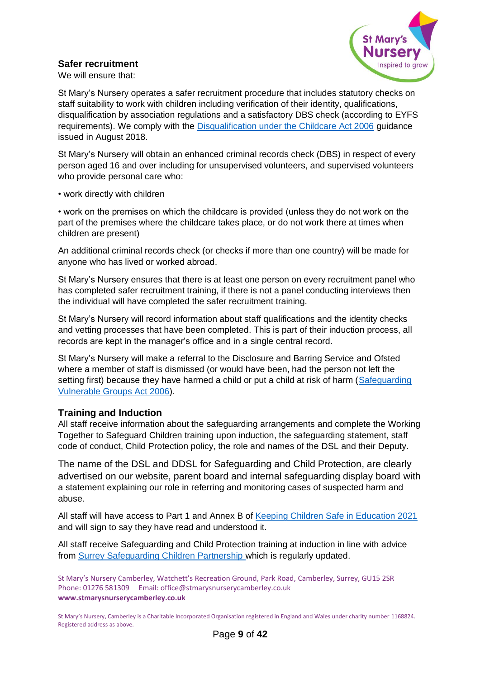# <span id="page-8-0"></span>**Safer recruitment**



We will ensure that:

St Mary's Nursery operates a safer recruitment procedure that includes statutory checks on staff suitability to work with children including verification of their identity, qualifications, disqualification by association regulations and a satisfactory DBS check (according to EYFS requirements). We comply with the [Disqualification under the Childcare Act 2006](https://www.gov.uk/government/publications/disqualification-under-the-childcare-act-2006/disqualification-under-the-childcare-act-2006) guidance issued in August 2018.

St Mary's Nursery will obtain an enhanced criminal records check (DBS) in respect of every person aged 16 and over including for unsupervised volunteers, and supervised volunteers who provide personal care who:

• work directly with children

• work on the premises on which the childcare is provided (unless they do not work on the part of the premises where the childcare takes place, or do not work there at times when children are present)

An additional criminal records check (or checks if more than one country) will be made for anyone who has lived or worked abroad.

St Mary's Nursery ensures that there is at least one person on every recruitment panel who has completed safer recruitment training, if there is not a panel conducting interviews then the individual will have completed the safer recruitment training.

St Mary's Nursery will record information about staff qualifications and the identity checks and vetting processes that have been completed. This is part of their induction process, all records are kept in the manager's office and in a single central record.

St Mary's Nursery will make a referral to the Disclosure and Barring Service and Ofsted where a member of staff is dismissed (or would have been, had the person not left the setting first) because they have harmed a child or put a child at risk of harm [\(Safeguarding](https://www.legislation.gov.uk/ukpga/2006/47/contents)  [Vulnerable Groups Act 2006\)](https://www.legislation.gov.uk/ukpga/2006/47/contents).

## <span id="page-8-1"></span>**Training and Induction**

All staff receive information about the safeguarding arrangements and complete the Working Together to Safeguard Children training upon induction, the safeguarding statement, staff code of conduct, Child Protection policy, the role and names of the DSL and their Deputy.

The name of the DSL and DDSL for Safeguarding and Child Protection, are clearly advertised on our website, parent board and internal safeguarding display board with a statement explaining our role in referring and monitoring cases of suspected harm and abuse.

All staff will have access to Part 1 and Annex B of [Keeping Children Safe in Education 2021](https://assets.publishing.service.gov.uk/government/uploads/system/uploads/attachment_data/file/1014057/KCSIE_2021_September.pdf) and will sign to say they have read and understood it.

All staff receive Safeguarding and Child Protection training at induction in line with advice from [Surrey Safeguarding Children Partnership](https://www.surreyscp.org.uk/training-2/) which is regularly updated.

St Mary's Nursery Camberley, Watchett's Recreation Ground, Park Road, Camberley, Surrey, GU15 2SR Phone: 01276 581309 Email: office@stmarysnurserycamberley.co.uk **www.stmarysnurserycamberley.co.uk**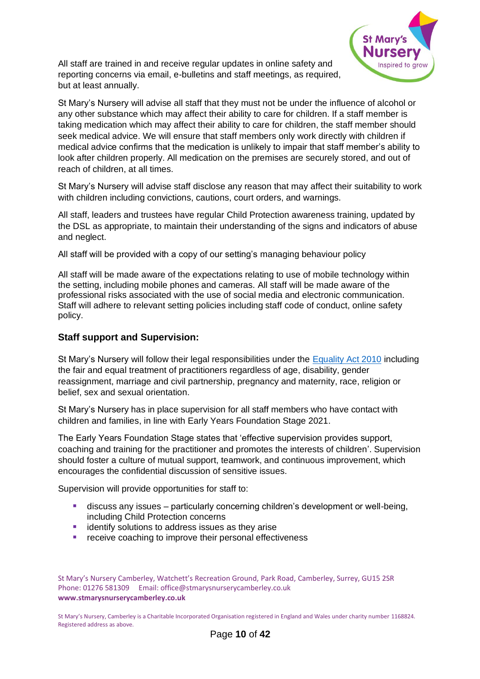

All staff are trained in and receive regular updates in online safety and reporting concerns via email, e-bulletins and staff meetings, as required, but at least annually.

St Mary's Nursery will advise all staff that they must not be under the influence of alcohol or any other substance which may affect their ability to care for children. If a staff member is taking medication which may affect their ability to care for children, the staff member should seek medical advice. We will ensure that staff members only work directly with children if medical advice confirms that the medication is unlikely to impair that staff member's ability to look after children properly. All medication on the premises are securely stored, and out of reach of children, at all times.

St Mary's Nursery will advise staff disclose any reason that may affect their suitability to work with children including convictions, cautions, court orders, and warnings.

All staff, leaders and trustees have regular Child Protection awareness training, updated by the DSL as appropriate, to maintain their understanding of the signs and indicators of abuse and neglect.

All staff will be provided with a copy of our setting's managing behaviour policy

All staff will be made aware of the expectations relating to use of mobile technology within the setting, including mobile phones and cameras. All staff will be made aware of the professional risks associated with the use of social media and electronic communication. Staff will adhere to relevant setting policies including staff code of conduct, online safety policy.

#### <span id="page-9-0"></span>**Staff support and Supervision:**

St Mary's Nursery will follow their legal responsibilities under the [Equality Act 2010](https://www.gov.uk/guidance/equality-act-2010-guidance) including the fair and equal treatment of practitioners regardless of age, disability, gender reassignment, marriage and civil partnership, pregnancy and maternity, race, religion or belief, sex and sexual orientation.

St Mary's Nursery has in place supervision for all staff members who have contact with children and families, in line with Early Years Foundation Stage 2021.

The Early Years Foundation Stage states that 'effective supervision provides support, coaching and training for the practitioner and promotes the interests of children'. Supervision should foster a culture of mutual support, teamwork, and continuous improvement, which encourages the confidential discussion of sensitive issues.

Supervision will provide opportunities for staff to:

- **E** discuss any issues particularly concerning children's development or well-being, including Child Protection concerns
- identify solutions to address issues as they arise
- receive coaching to improve their personal effectiveness

St Mary's Nursery Camberley, Watchett's Recreation Ground, Park Road, Camberley, Surrey, GU15 2SR Phone: 01276 581309 Email: office@stmarysnurserycamberley.co.uk **www.stmarysnurserycamberley.co.uk**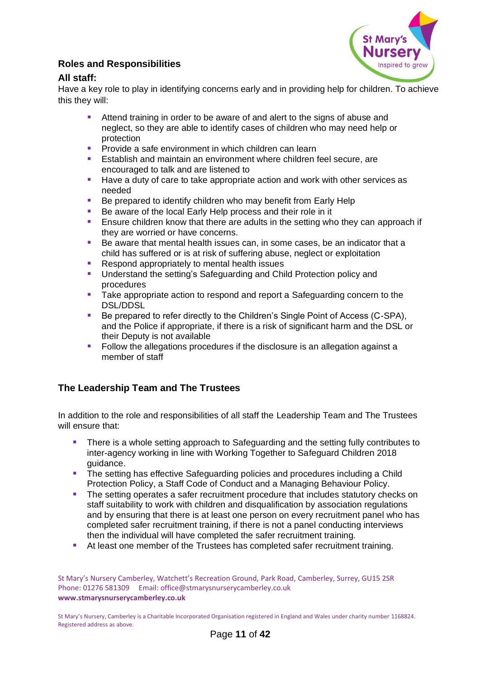# <span id="page-10-0"></span>**Roles and Responsibilities**



# <span id="page-10-1"></span>**All staff:**

Have a key role to play in identifying concerns early and in providing help for children. To achieve this they will:

- Attend training in order to be aware of and alert to the signs of abuse and neglect, so they are able to identify cases of children who may need help or protection
- Provide a safe environment in which children can learn
- Establish and maintain an environment where children feel secure, are encouraged to talk and are listened to
- Have a duty of care to take appropriate action and work with other services as needed
- Be prepared to identify children who may benefit from Early Help
- Be aware of the local Early Help process and their role in it
- Ensure children know that there are adults in the setting who they can approach if they are worried or have concerns.
- Be aware that mental health issues can, in some cases, be an indicator that a child has suffered or is at risk of suffering abuse, neglect or exploitation
- Respond appropriately to mental health issues
- Understand the setting's Safeguarding and Child Protection policy and procedures
- Take appropriate action to respond and report a Safeguarding concern to the DSL/DDSL
- Be prepared to refer directly to the Children's Single Point of Access (C-SPA), and the Police if appropriate, if there is a risk of significant harm and the DSL or their Deputy is not available
- Follow the allegations procedures if the disclosure is an allegation against a member of staff

# <span id="page-10-2"></span>**The Leadership Team and The Trustees**

In addition to the role and responsibilities of all staff the Leadership Team and The Trustees will ensure that:

- There is a whole setting approach to Safeguarding and the setting fully contributes to inter-agency working in line with Working Together to Safeguard Children 2018 guidance.
- The setting has effective Safeguarding policies and procedures including a Child Protection Policy, a Staff Code of Conduct and a Managing Behaviour Policy.
- **The setting operates a safer recruitment procedure that includes statutory checks on** staff suitability to work with children and disqualification by association regulations and by ensuring that there is at least one person on every recruitment panel who has completed safer recruitment training, if there is not a panel conducting interviews then the individual will have completed the safer recruitment training.
- At least one member of the Trustees has completed safer recruitment training.

St Mary's Nursery Camberley, Watchett's Recreation Ground, Park Road, Camberley, Surrey, GU15 2SR Phone: 01276 581309 Email: office@stmarysnurserycamberley.co.uk **www.stmarysnurserycamberley.co.uk**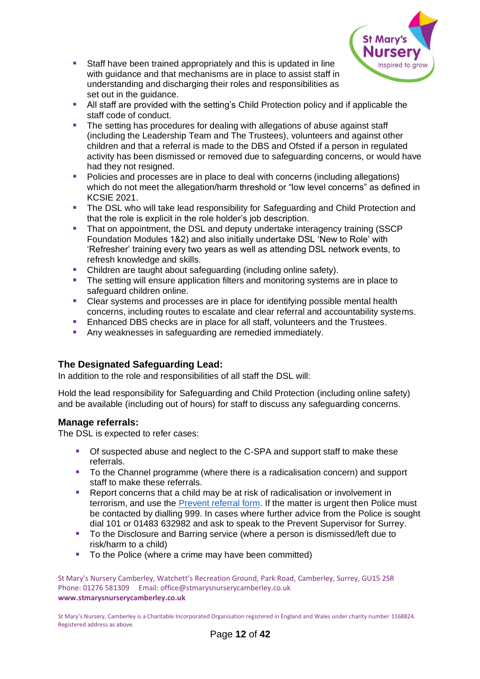

- Staff have been trained appropriately and this is updated in line with guidance and that mechanisms are in place to assist staff in understanding and discharging their roles and responsibilities as set out in the guidance.
- All staff are provided with the setting's Child Protection policy and if applicable the staff code of conduct.
- **The setting has procedures for dealing with allegations of abuse against staff** (including the Leadership Team and The Trustees), volunteers and against other children and that a referral is made to the DBS and Ofsted if a person in regulated activity has been dismissed or removed due to safeguarding concerns, or would have had they not resigned.
- Policies and processes are in place to deal with concerns (including allegations) which do not meet the allegation/harm threshold or "low level concerns" as defined in KCSIE 2021.
- **The DSL who will take lead responsibility for Safeguarding and Child Protection and** that the role is explicit in the role holder's job description.
- **•** That on appointment, the DSL and deputy undertake interagency training (SSCP) Foundation Modules 1&2) and also initially undertake DSL 'New to Role' with 'Refresher' training every two years as well as attending DSL network events, to refresh knowledge and skills.
- Children are taught about safeguarding (including online safety).
- The setting will ensure application filters and monitoring systems are in place to safeguard children online.
- Clear systems and processes are in place for identifying possible mental health concerns, including routes to escalate and clear referral and accountability systems.
- Enhanced DBS checks are in place for all staff, volunteers and the Trustees.
- Any weaknesses in safeguarding are remedied immediately.

# <span id="page-11-0"></span>**The Designated Safeguarding Lead:**

In addition to the role and responsibilities of all staff the DSL will:

Hold the lead responsibility for Safeguarding and Child Protection (including online safety) and be available (including out of hours) for staff to discuss any safeguarding concerns.

## <span id="page-11-1"></span>**Manage referrals:**

The DSL is expected to refer cases:

- Of suspected abuse and neglect to the C-SPA and support staff to make these referrals.
- To the Channel programme (where there is a radicalisation concern) and support staff to make these referrals.
- Report concerns that a child may be at risk of radicalisation or involvement in terrorism, and use the [Prevent referral form](https://www.surreyscp.org.uk/documents/prevent-referral-form/). If the matter is urgent then Police must be contacted by dialling 999. In cases where further advice from the Police is sought dial 101 or 01483 632982 and ask to speak to the Prevent Supervisor for Surrey.
- To the Disclosure and Barring service (where a person is dismissed/left due to risk/harm to a child)
- To the Police (where a crime may have been committed)

St Mary's Nursery Camberley, Watchett's Recreation Ground, Park Road, Camberley, Surrey, GU15 2SR Phone: 01276 581309 Email: office@stmarysnurserycamberley.co.uk **www.stmarysnurserycamberley.co.uk**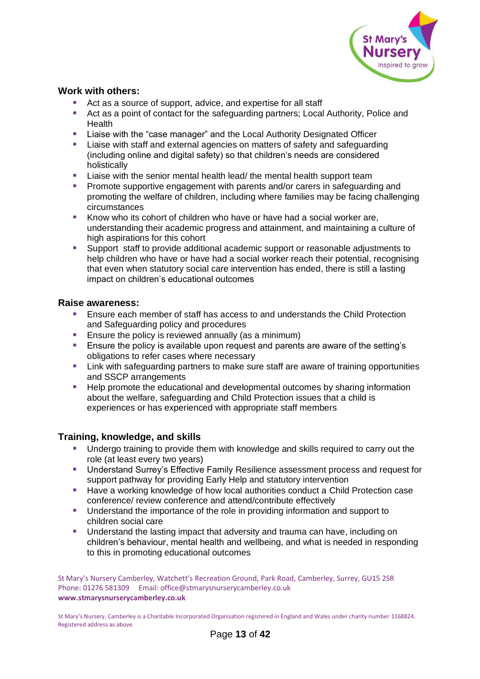

## <span id="page-12-0"></span>**Work with others:**

- Act as a source of support, advice, and expertise for all staff
- Act as a point of contact for the safeguarding partners; Local Authority, Police and Health
- Liaise with the "case manager" and the Local Authority Designated Officer
- **E** Liaise with staff and external agencies on matters of safety and safeguarding (including online and digital safety) so that children's needs are considered holistically
- **E** Liaise with the senior mental health lead/ the mental health support team
- **Promote supportive engagement with parents and/or carers in safeguarding and** promoting the welfare of children, including where families may be facing challenging circumstances
- Know who its cohort of children who have or have had a social worker are, understanding their academic progress and attainment, and maintaining a culture of high aspirations for this cohort
- Support staff to provide additional academic support or reasonable adjustments to help children who have or have had a social worker reach their potential, recognising that even when statutory social care intervention has ended, there is still a lasting impact on children's educational outcomes

## <span id="page-12-1"></span>**Raise awareness:**

- Ensure each member of staff has access to and understands the Child Protection and Safeguarding policy and procedures
- Ensure the policy is reviewed annually (as a minimum)
- Ensure the policy is available upon request and parents are aware of the setting's obligations to refer cases where necessary
- Link with safeguarding partners to make sure staff are aware of training opportunities and SSCP arrangements
- Help promote the educational and developmental outcomes by sharing information about the welfare, safeguarding and Child Protection issues that a child is experiences or has experienced with appropriate staff members

## <span id="page-12-2"></span>**Training, knowledge, and skills**

- Undergo training to provide them with knowledge and skills required to carry out the role (at least every two years)
- **■** Understand Surrey's Effective Family Resilience assessment process and request for support pathway for providing Early Help and statutory intervention
- Have a working knowledge of how local authorities conduct a Child Protection case conference/ review conference and attend/contribute effectively
- Understand the importance of the role in providing information and support to children social care
- **■** Understand the lasting impact that adversity and trauma can have, including on children's behaviour, mental health and wellbeing, and what is needed in responding to this in promoting educational outcomes

St Mary's Nursery Camberley, Watchett's Recreation Ground, Park Road, Camberley, Surrey, GU15 2SR Phone: 01276 581309 Email: office@stmarysnurserycamberley.co.uk **www.stmarysnurserycamberley.co.uk**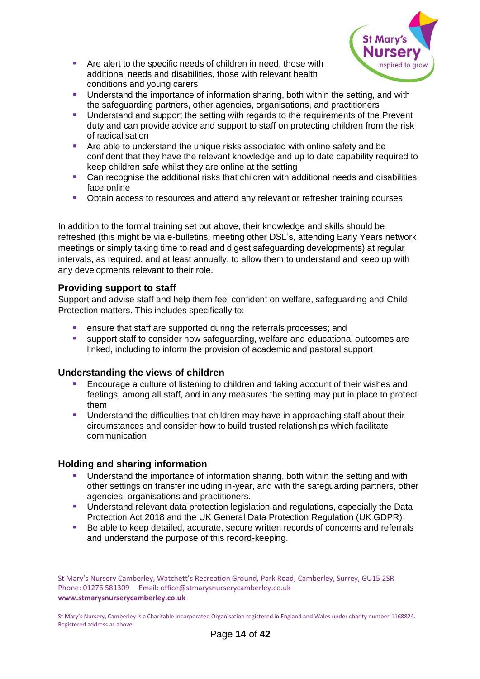

- Are alert to the specific needs of children in need, those with additional needs and disabilities, those with relevant health conditions and young carers
- **■** Understand the importance of information sharing, both within the setting, and with the safeguarding partners, other agencies, organisations, and practitioners
- Understand and support the setting with regards to the requirements of the Prevent duty and can provide advice and support to staff on protecting children from the risk of radicalisation
- Are able to understand the unique risks associated with online safety and be confident that they have the relevant knowledge and up to date capability required to keep children safe whilst they are online at the setting
- Can recognise the additional risks that children with additional needs and disabilities face online
- **Obtain access to resources and attend any relevant or refresher training courses**

In addition to the formal training set out above, their knowledge and skills should be refreshed (this might be via e-bulletins, meeting other DSL's, attending Early Years network meetings or simply taking time to read and digest safeguarding developments) at regular intervals, as required, and at least annually, to allow them to understand and keep up with any developments relevant to their role.

# <span id="page-13-0"></span>**Providing support to staff**

Support and advise staff and help them feel confident on welfare, safeguarding and Child Protection matters. This includes specifically to:

- ensure that staff are supported during the referrals processes; and
- support staff to consider how safeguarding, welfare and educational outcomes are linked, including to inform the provision of academic and pastoral support

# <span id="page-13-1"></span>**Understanding the views of children**

- Encourage a culture of listening to children and taking account of their wishes and feelings, among all staff, and in any measures the setting may put in place to protect them
- **■** Understand the difficulties that children may have in approaching staff about their circumstances and consider how to build trusted relationships which facilitate communication

## <span id="page-13-2"></span>**Holding and sharing information**

- Understand the importance of information sharing, both within the setting and with other settings on transfer including in-year, and with the safeguarding partners, other agencies, organisations and practitioners.
- **■** Understand relevant data protection legislation and regulations, especially the Data Protection Act 2018 and the UK General Data Protection Regulation (UK GDPR).
- Be able to keep detailed, accurate, secure written records of concerns and referrals and understand the purpose of this record-keeping.

St Mary's Nursery Camberley, Watchett's Recreation Ground, Park Road, Camberley, Surrey, GU15 2SR Phone: 01276 581309 Email: office@stmarysnurserycamberley.co.uk **www.stmarysnurserycamberley.co.uk**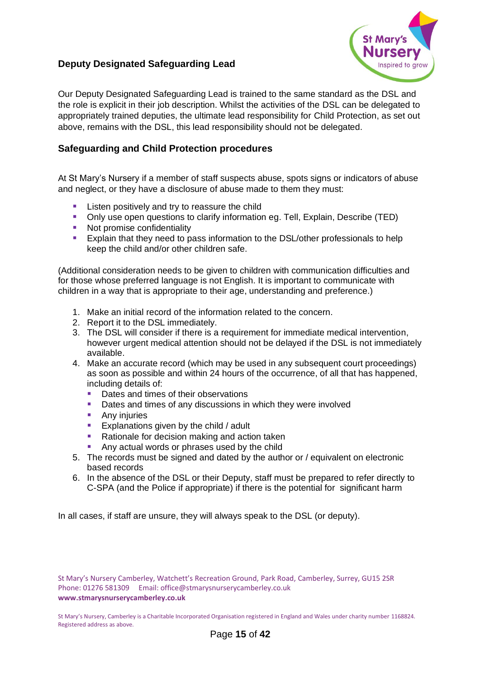# <span id="page-14-0"></span>**Deputy Designated Safeguarding Lead**



Our Deputy Designated Safeguarding Lead is trained to the same standard as the DSL and the role is explicit in their job description. Whilst the activities of the DSL can be delegated to appropriately trained deputies, the ultimate lead responsibility for Child Protection, as set out above, remains with the DSL, this lead responsibility should not be delegated.

## <span id="page-14-1"></span>**Safeguarding and Child Protection procedures**

At St Mary's Nursery if a member of staff suspects abuse, spots signs or indicators of abuse and neglect, or they have a disclosure of abuse made to them they must:

- Listen positively and try to reassure the child
- Only use open questions to clarify information eg. Tell, Explain, Describe (TED)
- Not promise confidentiality
- Explain that they need to pass information to the DSL/other professionals to help keep the child and/or other children safe.

(Additional consideration needs to be given to children with communication difficulties and for those whose preferred language is not English. It is important to communicate with children in a way that is appropriate to their age, understanding and preference.)

- 1. Make an initial record of the information related to the concern.
- 2. Report it to the DSL immediately.
- 3. The DSL will consider if there is a requirement for immediate medical intervention, however urgent medical attention should not be delayed if the DSL is not immediately available.
- 4. Make an accurate record (which may be used in any subsequent court proceedings) as soon as possible and within 24 hours of the occurrence, of all that has happened, including details of:
	- Dates and times of their observations<br>■ Dates and times of any discussions in
	- Dates and times of any discussions in which they were involved
	- Any injuries
	- Explanations given by the child / adult
	- Rationale for decision making and action taken
	- Any actual words or phrases used by the child
- 5. The records must be signed and dated by the author or / equivalent on electronic based records
- 6. In the absence of the DSL or their Deputy, staff must be prepared to refer directly to C-SPA (and the Police if appropriate) if there is the potential for significant harm

In all cases, if staff are unsure, they will always speak to the DSL (or deputy).

St Mary's Nursery Camberley, Watchett's Recreation Ground, Park Road, Camberley, Surrey, GU15 2SR Phone: 01276 581309 Email: office@stmarysnurserycamberley.co.uk **www.stmarysnurserycamberley.co.uk**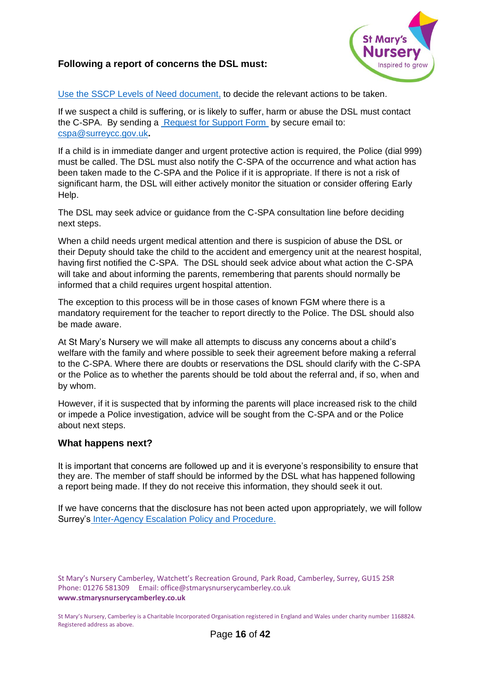## <span id="page-15-0"></span>**Following a report of concerns the DSL must:**



Use [the SSCP Levels of Need](https://www.surreyscp.org.uk/resources-category/effectivefamilyresiliencelevelsofneed/) document, to decide the relevant actions to be taken.

If we suspect a child is suffering, or is likely to suffer, harm or abuse the DSL must contact the C-SPA. By sending a [Request for Support Form](https://www.surreyscp.org.uk/documents/surrey-childrens-services-request-for-support-form/) by secure email to: [cspa@surreycc.gov.uk](mailto:cspa@surreycc.gov.uk)**.**

If a child is in immediate danger and urgent protective action is required, the Police (dial 999) must be called. The DSL must also notify the C-SPA of the occurrence and what action has been taken made to the C-SPA and the Police if it is appropriate. If there is not a risk of significant harm, the DSL will either actively monitor the situation or consider offering Early Help.

The DSL may seek advice or guidance from the C-SPA consultation line before deciding next steps.

When a child needs urgent medical attention and there is suspicion of abuse the DSL or their Deputy should take the child to the accident and emergency unit at the nearest hospital, having first notified the C-SPA. The DSL should seek advice about what action the C-SPA will take and about informing the parents, remembering that parents should normally be informed that a child requires urgent hospital attention.

The exception to this process will be in those cases of known FGM where there is a mandatory requirement for the teacher to report directly to the Police. The DSL should also be made aware.

At St Mary's Nursery we will make all attempts to discuss any concerns about a child's welfare with the family and where possible to seek their agreement before making a referral to the C-SPA. Where there are doubts or reservations the DSL should clarify with the C-SPA or the Police as to whether the parents should be told about the referral and, if so, when and by whom.

However, if it is suspected that by informing the parents will place increased risk to the child or impede a Police investigation, advice will be sought from the C-SPA and or the Police about next steps.

#### <span id="page-15-1"></span>**What happens next?**

It is important that concerns are followed up and it is everyone's responsibility to ensure that they are. The member of staff should be informed by the DSL what has happened following a report being made. If they do not receive this information, they should seek it out.

<span id="page-15-2"></span>If we have concerns that the disclosure has not been acted upon appropriately, we will follow Surrey's [Inter-Agency Escalation Policy and Procedure.](https://surreyscb.procedures.org.uk/skyqox/complaints-and-disagreements/inter-agency-escalation-policy-and-procedure)

St Mary's Nursery Camberley, Watchett's Recreation Ground, Park Road, Camberley, Surrey, GU15 2SR Phone: 01276 581309 Email: office@stmarysnurserycamberley.co.uk **www.stmarysnurserycamberley.co.uk**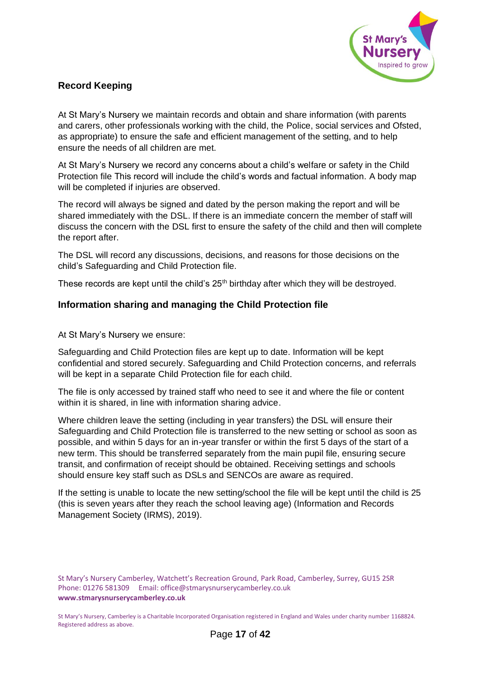

# **Record Keeping**

At St Mary's Nursery we maintain records and obtain and share information (with parents and carers, other professionals working with the child, the Police, social services and Ofsted, as appropriate) to ensure the safe and efficient management of the setting, and to help ensure the needs of all children are met.

At St Mary's Nursery we record any concerns about a child's welfare or safety in the Child Protection file This record will include the child's words and factual information. A body map will be completed if injuries are observed.

The record will always be signed and dated by the person making the report and will be shared immediately with the DSL. If there is an immediate concern the member of staff will discuss the concern with the DSL first to ensure the safety of the child and then will complete the report after.

The DSL will record any discussions, decisions, and reasons for those decisions on the child's Safeguarding and Child Protection file.

These records are kept until the child's 25<sup>th</sup> birthday after which they will be destroyed.

## <span id="page-16-0"></span>**Information sharing and managing the Child Protection file**

At St Mary's Nursery we ensure:

Safeguarding and Child Protection files are kept up to date. Information will be kept confidential and stored securely. Safeguarding and Child Protection concerns, and referrals will be kept in a separate Child Protection file for each child.

The file is only accessed by trained staff who need to see it and where the file or content within it is shared, in line with information sharing advice.

Where children leave the setting (including in year transfers) the DSL will ensure their Safeguarding and Child Protection file is transferred to the new setting or school as soon as possible, and within 5 days for an in-year transfer or within the first 5 days of the start of a new term. This should be transferred separately from the main pupil file, ensuring secure transit, and confirmation of receipt should be obtained. Receiving settings and schools should ensure key staff such as DSLs and SENCOs are aware as required.

If the setting is unable to locate the new setting/school the file will be kept until the child is 25 (this is seven years after they reach the school leaving age) (Information and Records Management Society (IRMS), 2019).

St Mary's Nursery Camberley, Watchett's Recreation Ground, Park Road, Camberley, Surrey, GU15 2SR Phone: 01276 581309 Email: office@stmarysnurserycamberley.co.uk **www.stmarysnurserycamberley.co.uk**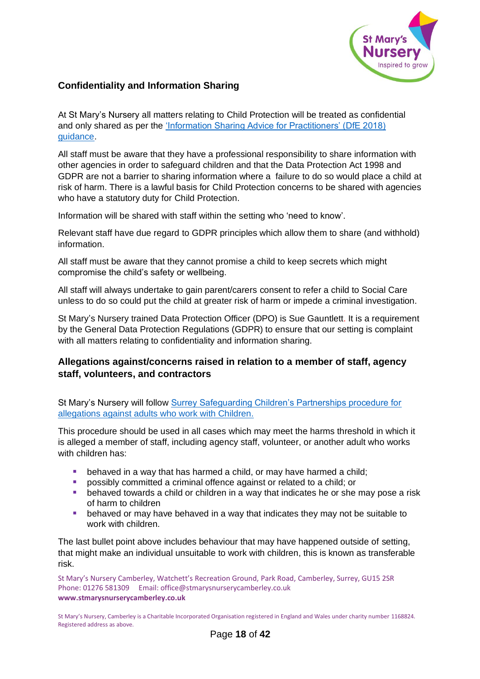

## <span id="page-17-0"></span>**Confidentiality and Information Sharing**

At St Mary's Nursery all matters relating to Child Protection will be treated as confidential and only shared as per the ['Information Sharing Advice for Practitioners' \(DfE 2018\)](https://www.gov.uk/government/publications/safeguarding-practitioners-information-sharing-advice)  [guidance.](https://www.gov.uk/government/publications/safeguarding-practitioners-information-sharing-advice)

All staff must be aware that they have a professional responsibility to share information with other agencies in order to safeguard children and that the Data Protection Act 1998 and GDPR are not a barrier to sharing information where a failure to do so would place a child at risk of harm. There is a lawful basis for Child Protection concerns to be shared with agencies who have a statutory duty for Child Protection.

Information will be shared with staff within the setting who 'need to know'.

Relevant staff have due regard to GDPR principles which allow them to share (and withhold) information.

All staff must be aware that they cannot promise a child to keep secrets which might compromise the child's safety or wellbeing.

All staff will always undertake to gain parent/carers consent to refer a child to Social Care unless to do so could put the child at greater risk of harm or impede a criminal investigation.

St Mary's Nursery trained Data Protection Officer (DPO) is Sue Gauntlett. It is a requirement by the General Data Protection Regulations (GDPR) to ensure that our setting is complaint with all matters relating to confidentiality and information sharing.

# <span id="page-17-1"></span>**Allegations against/concerns raised in relation to a member of staff, agency staff, volunteers, and contractors**

St Mary's Nursery will follow [Surrey Safeguarding Children's Partnerships procedure for](https://surreyscb.procedures.org.uk/qkyqql/safer-workforce-and-managing-allegations-against-staff-carers-and-volunteers/managing-allegations-against-people-that-work-or-volunteer-with-children/#s4559)  [allegations against adults who work with Children.](https://surreyscb.procedures.org.uk/qkyqql/safer-workforce-and-managing-allegations-against-staff-carers-and-volunteers/managing-allegations-against-people-that-work-or-volunteer-with-children/#s4559)

This procedure should be used in all cases which may meet the harms threshold in which it is alleged a member of staff, including agency staff, volunteer, or another adult who works with children has:

- behaved in a way that has harmed a child, or may have harmed a child;
- **•** possibly committed a criminal offence against or related to a child; or **b** he haved towards a child or children in a way that indicates he or she
- behaved towards a child or children in a way that indicates he or she may pose a risk of harm to children
- **E** behaved or may have behaved in a way that indicates they may not be suitable to work with children*.*

The last bullet point above includes behaviour that may have happened outside of setting, that might make an individual unsuitable to work with children, this is known as transferable risk.

St Mary's Nursery Camberley, Watchett's Recreation Ground, Park Road, Camberley, Surrey, GU15 2SR Phone: 01276 581309 Email: office@stmarysnurserycamberley.co.uk **www.stmarysnurserycamberley.co.uk**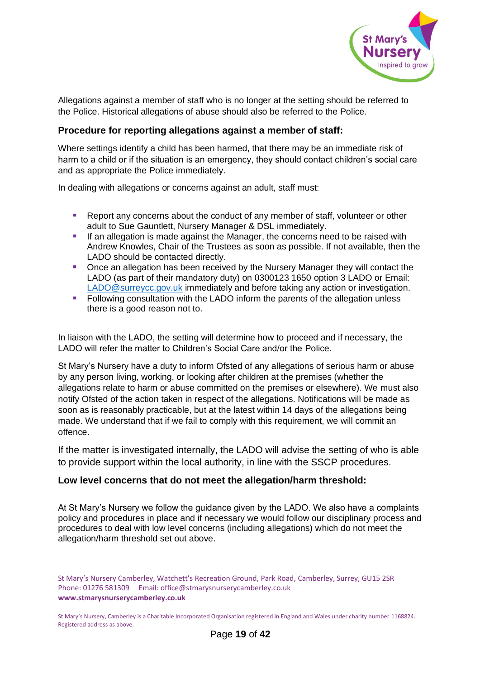

Allegations against a member of staff who is no longer at the setting should be referred to the Police. Historical allegations of abuse should also be referred to the Police.

## **Procedure for reporting allegations against a member of staff:**

Where settings identify a child has been harmed, that there may be an immediate risk of harm to a child or if the situation is an emergency, they should contact children's social care and as appropriate the Police immediately.

In dealing with allegations or concerns against an adult, staff must:

- Report any concerns about the conduct of any member of staff, volunteer or other adult to Sue Gauntlett, Nursery Manager & DSL immediately.
- **EXTERN** If an allegation is made against the Manager, the concerns need to be raised with Andrew Knowles, Chair of the Trustees as soon as possible. If not available, then the LADO should be contacted directly.
- Once an allegation has been received by the Nursery Manager they will contact the LADO (as part of their mandatory duty) on 0300123 1650 option 3 LADO or Email: [LADO@surreycc.gov.uk](mailto:LADO@surreycc.gov.uk) immediately and before taking any action or investigation.
- **•** Following consultation with the LADO inform the parents of the allegation unless there is a good reason not to.

In liaison with the LADO, the setting will determine how to proceed and if necessary, the LADO will refer the matter to Children's Social Care and/or the Police.

St Mary's Nursery have a duty to inform Ofsted of any allegations of serious harm or abuse by any person living, working, or looking after children at the premises (whether the allegations relate to harm or abuse committed on the premises or elsewhere). We must also notify Ofsted of the action taken in respect of the allegations. Notifications will be made as soon as is reasonably practicable, but at the latest within 14 days of the allegations being made. We understand that if we fail to comply with this requirement, we will commit an offence.

If the matter is investigated internally, the LADO will advise the setting of who is able to provide support within the local authority, in line with the SSCP procedures.

#### <span id="page-18-0"></span>**Low level concerns that do not meet the allegation/harm threshold:**

At St Mary's Nursery we follow the guidance given by the LADO. We also have a complaints policy and procedures in place and if necessary we would follow our disciplinary process and procedures to deal with low level concerns (including allegations) which do not meet the allegation/harm threshold set out above.

St Mary's Nursery Camberley, Watchett's Recreation Ground, Park Road, Camberley, Surrey, GU15 2SR Phone: 01276 581309 Email: office@stmarysnurserycamberley.co.uk **www.stmarysnurserycamberley.co.uk**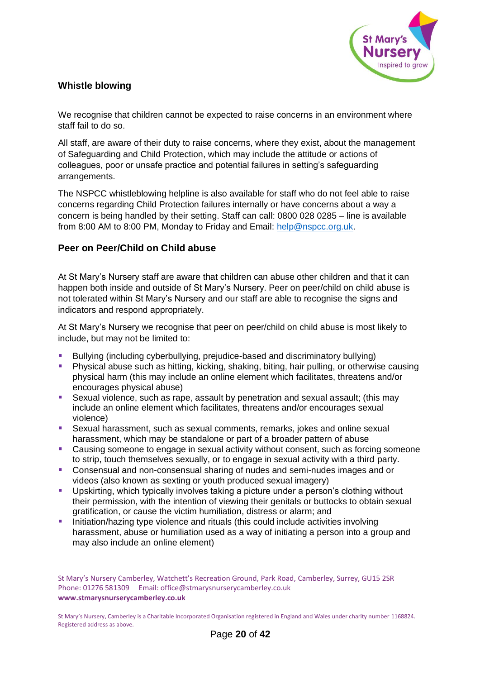

## **Whistle blowing**

We recognise that children cannot be expected to raise concerns in an environment where staff fail to do so.

All staff, are aware of their duty to raise concerns, where they exist, about the management of Safeguarding and Child Protection, which may include the attitude or actions of colleagues, poor or unsafe practice and potential failures in setting's safeguarding arrangements.

The NSPCC whistleblowing helpline is also available for staff who do not feel able to raise concerns regarding Child Protection failures internally or have concerns about a way a concern is being handled by their setting. Staff can call: 0800 028 0285 – line is available from 8:00 AM to 8:00 PM, Monday to Friday and Email: [help@nspcc.org.uk.](mailto:help@nspcc.org.uk)

## <span id="page-19-0"></span>**Peer on Peer/Child on Child abuse**

At St Mary's Nursery staff are aware that children can abuse other children and that it can happen both inside and outside of St Mary's Nursery. Peer on peer/child on child abuse is not tolerated within St Mary's Nursery and our staff are able to recognise the signs and indicators and respond appropriately.

At St Mary's Nursery we recognise that peer on peer/child on child abuse is most likely to include, but may not be limited to:

- Bullying (including cyberbullying, prejudice-based and discriminatory bullying)
- Physical abuse such as hitting, kicking, shaking, biting, hair pulling, or otherwise causing physical harm (this may include an online element which facilitates, threatens and/or encourages physical abuse)
- Sexual violence, such as rape, assault by penetration and sexual assault; (this may include an online element which facilitates, threatens and/or encourages sexual violence)
- Sexual harassment, such as sexual comments, remarks, jokes and online sexual harassment, which may be standalone or part of a broader pattern of abuse
- Causing someone to engage in sexual activity without consent, such as forcing someone to strip, touch themselves sexually, or to engage in sexual activity with a third party.
- Consensual and non-consensual sharing of nudes and semi-nudes images and or videos (also known as sexting or youth produced sexual imagery)
- Upskirting, which typically involves taking a picture under a person's clothing without their permission, with the intention of viewing their genitals or buttocks to obtain sexual gratification, or cause the victim humiliation, distress or alarm; and
- **E** Initiation/hazing type violence and rituals (this could include activities involving harassment, abuse or humiliation used as a way of initiating a person into a group and may also include an online element)

St Mary's Nursery Camberley, Watchett's Recreation Ground, Park Road, Camberley, Surrey, GU15 2SR Phone: 01276 581309 Email: office@stmarysnurserycamberley.co.uk **www.stmarysnurserycamberley.co.uk**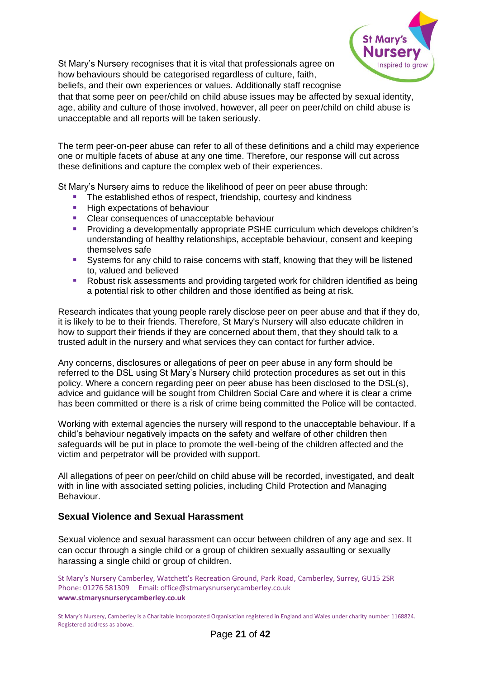

St Mary's Nursery recognises that it is vital that professionals agree on how behaviours should be categorised regardless of culture, faith,

beliefs, and their own experiences or values. Additionally staff recognise that that some peer on peer/child on child abuse issues may be affected by sexual identity, age, ability and culture of those involved, however, all peer on peer/child on child abuse is unacceptable and all reports will be taken seriously.

The term peer-on-peer abuse can refer to all of these definitions and a child may experience one or multiple facets of abuse at any one time. Therefore, our response will cut across these definitions and capture the complex web of their experiences.

St Mary's Nursery aims to reduce the likelihood of peer on peer abuse through:

- The established ethos of respect, friendship, courtesy and kindness
- High expectations of behaviour
- Clear consequences of unacceptable behaviour
- Providing a developmentally appropriate PSHE curriculum which develops children's understanding of healthy relationships, acceptable behaviour, consent and keeping themselves safe
- Systems for any child to raise concerns with staff, knowing that they will be listened to, valued and believed
- Robust risk assessments and providing targeted work for children identified as being a potential risk to other children and those identified as being at risk.

Research indicates that young people rarely disclose peer on peer abuse and that if they do, it is likely to be to their friends. Therefore, St Mary's Nursery will also educate children in how to support their friends if they are concerned about them, that they should talk to a trusted adult in the nursery and what services they can contact for further advice.

Any concerns, disclosures or allegations of peer on peer abuse in any form should be referred to the DSL using St Mary's Nursery child protection procedures as set out in this policy. Where a concern regarding peer on peer abuse has been disclosed to the DSL(s), advice and guidance will be sought from Children Social Care and where it is clear a crime has been committed or there is a risk of crime being committed the Police will be contacted.

Working with external agencies the nursery will respond to the unacceptable behaviour. If a child's behaviour negatively impacts on the safety and welfare of other children then safeguards will be put in place to promote the well-being of the children affected and the victim and perpetrator will be provided with support.

All allegations of peer on peer/child on child abuse will be recorded, investigated, and dealt with in line with associated setting policies, including Child Protection and Managing Behaviour.

## <span id="page-20-0"></span>**Sexual Violence and Sexual Harassment**

Sexual violence and sexual harassment can occur between children of any age and sex. It can occur through a single child or a group of children sexually assaulting or sexually harassing a single child or group of children.

St Mary's Nursery Camberley, Watchett's Recreation Ground, Park Road, Camberley, Surrey, GU15 2SR Phone: 01276 581309 Email: office@stmarysnurserycamberley.co.uk **www.stmarysnurserycamberley.co.uk**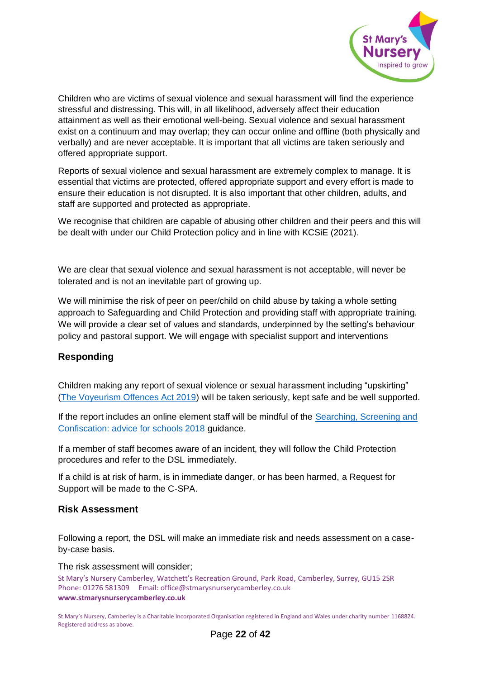

Children who are victims of sexual violence and sexual harassment will find the experience stressful and distressing. This will, in all likelihood, adversely affect their education attainment as well as their emotional well-being. Sexual violence and sexual harassment exist on a continuum and may overlap; they can occur online and offline (both physically and verbally) and are never acceptable. It is important that all victims are taken seriously and offered appropriate support.

Reports of sexual violence and sexual harassment are extremely complex to manage. It is essential that victims are protected, offered appropriate support and every effort is made to ensure their education is not disrupted. It is also important that other children, adults, and staff are supported and protected as appropriate.

We recognise that children are capable of abusing other children and their peers and this will be dealt with under our Child Protection policy and in line with KCSiE (2021).

We are clear that sexual violence and sexual harassment is not acceptable, will never be tolerated and is not an inevitable part of growing up.

We will minimise the risk of peer on peer/child on child abuse by taking a whole setting approach to Safeguarding and Child Protection and providing staff with appropriate training. We will provide a clear set of values and standards, underpinned by the setting's behaviour policy and pastoral support. We will engage with specialist support and interventions

## <span id="page-21-0"></span>**Responding**

Children making any report of sexual violence or sexual harassment including "upskirting" [\(The Voyeurism Offences Act 2019\)](https://www.legislation.gov.uk/ukpga/2019/2/enacted) will be taken seriously, kept safe and be well supported.

If the report includes an online element staff will be mindful of the Searching, Screening and [Confiscation: advice for schools 2018](https://assets.publishing.service.gov.uk/government/uploads/system/uploads/attachment_data/file/674416/Searching_screening_and_confiscation.pdf) guidance.

If a member of staff becomes aware of an incident, they will follow the Child Protection procedures and refer to the DSL immediately.

If a child is at risk of harm, is in immediate danger, or has been harmed, a Request for Support will be made to the C-SPA.

#### <span id="page-21-1"></span>**Risk Assessment**

Following a report, the DSL will make an immediate risk and needs assessment on a caseby-case basis.

#### The risk assessment will consider;

St Mary's Nursery Camberley, Watchett's Recreation Ground, Park Road, Camberley, Surrey, GU15 2SR Phone: 01276 581309 Email: office@stmarysnurserycamberley.co.uk **www.stmarysnurserycamberley.co.uk**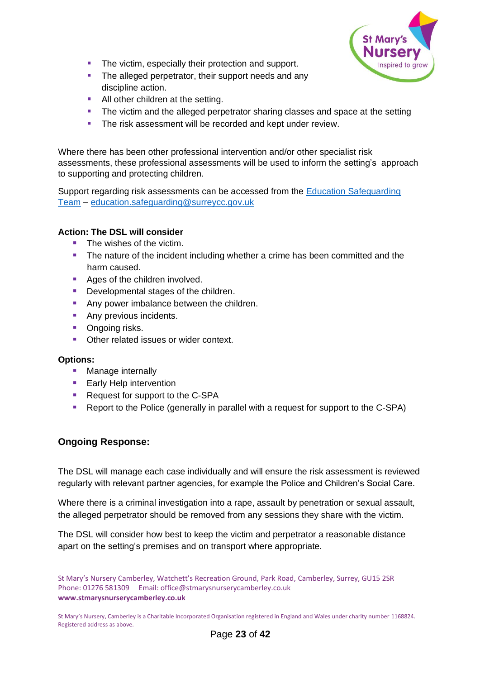

- The victim, especially their protection and support.
- The alleged perpetrator, their support needs and any discipline action.
- All other children at the setting.
- The victim and the alleged perpetrator sharing classes and space at the setting
- The risk assessment will be recorded and kept under review.

Where there has been other professional intervention and/or other specialist risk assessments, these professional assessments will be used to inform the setting's approach to supporting and protecting children.

Support regarding risk assessments can be accessed from the [Education Safeguarding](https://www.surreycc.gov.uk/schools-and-learning/teachers-and-education-staff/educational-advice-and-support/safeguarding)  [Team](https://www.surreycc.gov.uk/schools-and-learning/teachers-and-education-staff/educational-advice-and-support/safeguarding) – [education.safeguarding@surreycc.gov.uk](mailto:education.safeguarding@surreycc.gov.uk)

#### <span id="page-22-0"></span>**Action: The DSL will consider**

- The wishes of the victim.
- **•** The nature of the incident including whether a crime has been committed and the harm caused.
- Ages of the children involved.
- Developmental stages of the children.
- Any power imbalance between the children.
- Any previous incidents.
- Ongoing risks.
- Other related issues or wider context.

#### <span id="page-22-1"></span>**Options:**

- Manage internally
- Early Help intervention
- Request for support to the C-SPA
- Report to the Police (generally in parallel with a request for support to the C-SPA)

## <span id="page-22-2"></span>**Ongoing Response:**

The DSL will manage each case individually and will ensure the risk assessment is reviewed regularly with relevant partner agencies, for example the Police and Children's Social Care.

Where there is a criminal investigation into a rape, assault by penetration or sexual assault, the alleged perpetrator should be removed from any sessions they share with the victim.

The DSL will consider how best to keep the victim and perpetrator a reasonable distance apart on the setting's premises and on transport where appropriate.

St Mary's Nursery Camberley, Watchett's Recreation Ground, Park Road, Camberley, Surrey, GU15 2SR Phone: 01276 581309 Email: office@stmarysnurserycamberley.co.uk **www.stmarysnurserycamberley.co.uk**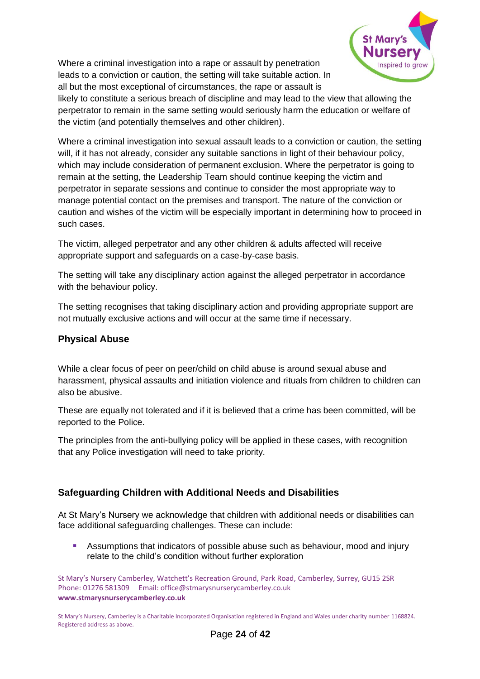Where a criminal investigation into a rape or assault by penetration leads to a conviction or caution, the setting will take suitable action. In all but the most exceptional of circumstances, the rape or assault is



likely to constitute a serious breach of discipline and may lead to the view that allowing the perpetrator to remain in the same setting would seriously harm the education or welfare of the victim (and potentially themselves and other children).

Where a criminal investigation into sexual assault leads to a conviction or caution, the setting will, if it has not already, consider any suitable sanctions in light of their behaviour policy, which may include consideration of permanent exclusion. Where the perpetrator is going to remain at the setting, the Leadership Team should continue keeping the victim and perpetrator in separate sessions and continue to consider the most appropriate way to manage potential contact on the premises and transport. The nature of the conviction or caution and wishes of the victim will be especially important in determining how to proceed in such cases.

The victim, alleged perpetrator and any other children & adults affected will receive appropriate support and safeguards on a case-by-case basis.

The setting will take any disciplinary action against the alleged perpetrator in accordance with the behaviour policy.

The setting recognises that taking disciplinary action and providing appropriate support are not mutually exclusive actions and will occur at the same time if necessary.

## <span id="page-23-0"></span>**Physical Abuse**

While a clear focus of peer on peer/child on child abuse is around sexual abuse and harassment, physical assaults and initiation violence and rituals from children to children can also be abusive.

These are equally not tolerated and if it is believed that a crime has been committed, will be reported to the Police.

The principles from the anti-bullying policy will be applied in these cases, with recognition that any Police investigation will need to take priority.

# <span id="page-23-1"></span>**Safeguarding Children with Additional Needs and Disabilities**

At St Mary's Nursery we acknowledge that children with additional needs or disabilities can face additional safeguarding challenges. These can include:

**E** Assumptions that indicators of possible abuse such as behaviour, mood and injury relate to the child's condition without further exploration

St Mary's Nursery Camberley, Watchett's Recreation Ground, Park Road, Camberley, Surrey, GU15 2SR Phone: 01276 581309 Email: office@stmarysnurserycamberley.co.uk **www.stmarysnurserycamberley.co.uk**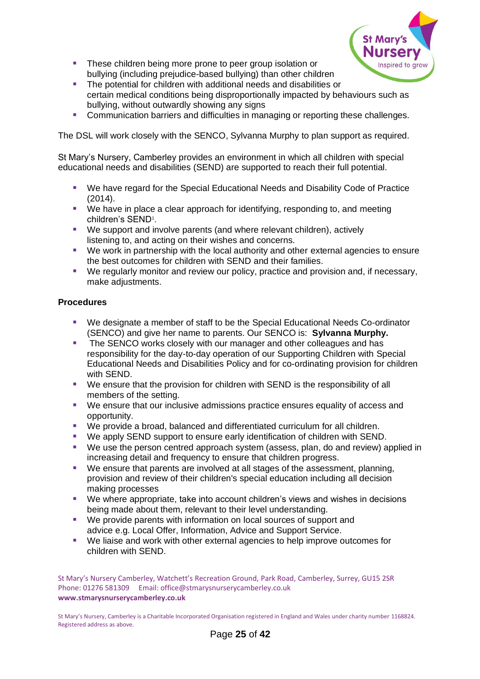

- These children being more prone to peer group isolation or bullying (including prejudice-based bullying) than other children
- The potential for children with additional needs and disabilities or certain medical conditions being disproportionally impacted by behaviours such as bullying, without outwardly showing any signs
- Communication barriers and difficulties in managing or reporting these challenges.

The DSL will work closely with the SENCO, Sylvanna Murphy to plan support as required.

St Mary's Nursery, Camberley provides an environment in which all children with special educational needs and disabilities (SEND) are supported to reach their full potential.

- We have regard for the Special Educational Needs and Disability Code of Practice (2014).
- We have in place a clear approach for identifying, responding to, and meeting children's SEND<sup>1</sup>.
- We support and involve parents (and where relevant children), actively listening to, and acting on their wishes and concerns.
- We work in partnership with the local authority and other external agencies to ensure the best outcomes for children with SEND and their families.
- We regularly monitor and review our policy, practice and provision and, if necessary, make adjustments.

#### **Procedures**

- We designate a member of staff to be the Special Educational Needs Co-ordinator (SENCO) and give her name to parents. Our SENCO is: **Sylvanna Murphy.**
- The SENCO works closely with our manager and other colleagues and has responsibility for the day-to-day operation of our Supporting Children with Special Educational Needs and Disabilities Policy and for co-ordinating provision for children with SEND.
- We ensure that the provision for children with SEND is the responsibility of all members of the setting.
- We ensure that our inclusive admissions practice ensures equality of access and opportunity.
- We provide a broad, balanced and differentiated curriculum for all children.
- We apply SEND support to ensure early identification of children with SEND.
- We use the person centred approach system (assess, plan, do and review) applied in increasing detail and frequency to ensure that children progress.
- We ensure that parents are involved at all stages of the assessment, planning, provision and review of their children's special education including all decision making processes
- We where appropriate, take into account children's views and wishes in decisions being made about them, relevant to their level understanding.
- We provide parents with information on local sources of support and advice e.g. Local Offer, Information, Advice and Support Service.
- We liaise and work with other external agencies to help improve outcomes for children with SEND.

St Mary's Nursery Camberley, Watchett's Recreation Ground, Park Road, Camberley, Surrey, GU15 2SR Phone: 01276 581309 Email: office@stmarysnurserycamberley.co.uk **www.stmarysnurserycamberley.co.uk**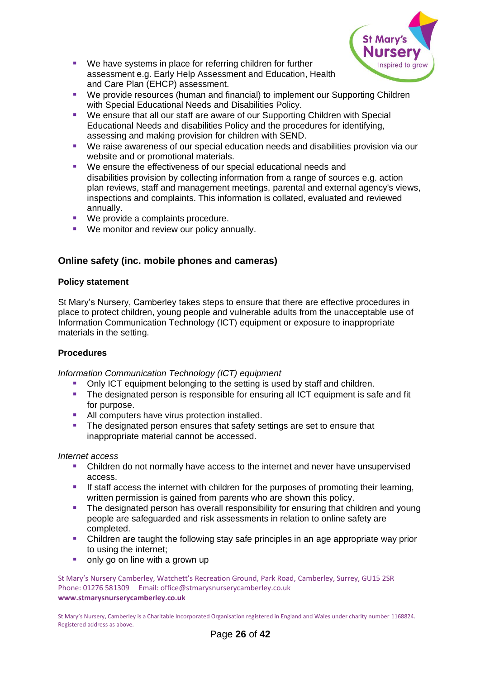

- We have systems in place for referring children for further assessment e.g. Early Help Assessment and Education, Health and Care Plan (EHCP) assessment.
- We provide resources (human and financial) to implement our Supporting Children with Special Educational Needs and Disabilities Policy.
- We ensure that all our staff are aware of our Supporting Children with Special Educational Needs and disabilities Policy and the procedures for identifying, assessing and making provision for children with SEND.
- We raise awareness of our special education needs and disabilities provision via our website and or promotional materials.
- We ensure the effectiveness of our special educational needs and disabilities provision by collecting information from a range of sources e.g. action plan reviews, staff and management meetings, parental and external agency's views, inspections and complaints. This information is collated, evaluated and reviewed annually.
- We provide a complaints procedure.
- We monitor and review our policy annually.

# **Online safety (inc. mobile phones and cameras)**

#### **Policy statement**

St Mary's Nursery, Camberley takes steps to ensure that there are effective procedures in place to protect children, young people and vulnerable adults from the unacceptable use of Information Communication Technology (ICT) equipment or exposure to inappropriate materials in the setting.

## **Procedures**

*Information Communication Technology (ICT) equipment*

- Only ICT equipment belonging to the setting is used by staff and children.
- **•** The designated person is responsible for ensuring all ICT equipment is safe and fit for purpose.
- All computers have virus protection installed.
- **•** The designated person ensures that safety settings are set to ensure that inappropriate material cannot be accessed.

#### *Internet access*

- Children do not normally have access to the internet and never have unsupervised access.
- If staff access the internet with children for the purposes of promoting their learning, written permission is gained from parents who are shown this policy.
- **•** The designated person has overall responsibility for ensuring that children and young people are safeguarded and risk assessments in relation to online safety are completed.
- Children are taught the following stay safe principles in an age appropriate way prior to using the internet;
- only go on line with a grown up

St Mary's Nursery Camberley, Watchett's Recreation Ground, Park Road, Camberley, Surrey, GU15 2SR Phone: 01276 581309 Email: office@stmarysnurserycamberley.co.uk **www.stmarysnurserycamberley.co.uk**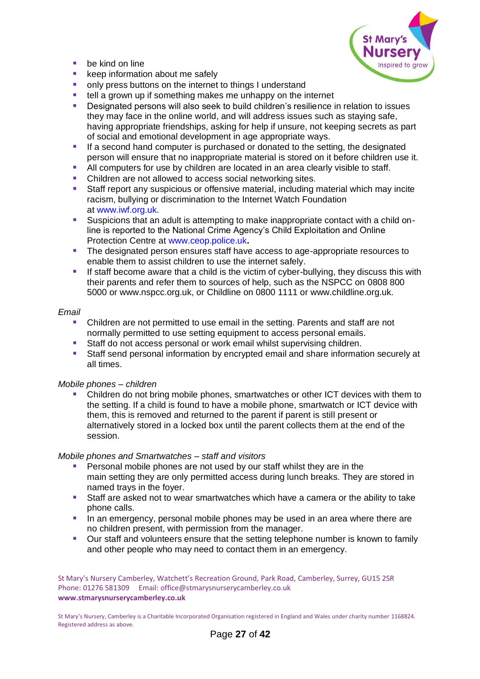

- $\blacksquare$  be kind on line
- keep information about me safely
- only press buttons on the internet to things I understand
- tell a grown up if something makes me unhappy on the internet
- Designated persons will also seek to build children's resilience in relation to issues they may face in the online world, and will address issues such as staying safe, having appropriate friendships, asking for help if unsure, not keeping secrets as part of social and emotional development in age appropriate ways.
- If a second hand computer is purchased or donated to the setting, the designated person will ensure that no inappropriate material is stored on it before children use it.
- All computers for use by children are located in an area clearly visible to staff.
- Children are not allowed to access social networking sites.
- **E** Staff report any suspicious or offensive material, including material which may incite racism, bullying or discrimination to the Internet Watch Foundation at [www.iwf.org.uk.](http://www.iwf.org.uk/)
- Suspicions that an adult is attempting to make inappropriate contact with a child online is reported to the National Crime Agency's Child Exploitation and Online Protection Centre at [www.ceop.police.uk](http://www.ceop.police.uk/)**.**
- The designated person ensures staff have access to age-appropriate resources to enable them to assist children to use the internet safely.
- **.** If staff become aware that a child is the victim of cyber-bullying, they discuss this with their parents and refer them to sources of help, such as the NSPCC on 0808 800 5000 or www.nspcc.org.uk, or Childline on 0800 1111 or www.childline.org.uk.

#### *Email*

- Children are not permitted to use email in the setting. Parents and staff are not normally permitted to use setting equipment to access personal emails.
- Staff do not access personal or work email whilst supervising children.
- **EXECT** Staff send personal information by encrypted email and share information securely at all times.

#### *Mobile phones – children*

Children do not bring mobile phones, smartwatches or other ICT devices with them to the setting. If a child is found to have a mobile phone, smartwatch or ICT device with them, this is removed and returned to the parent if parent is still present or alternatively stored in a locked box until the parent collects them at the end of the session.

#### *Mobile phones and Smartwatches – staff and visitors*

- Personal mobile phones are not used by our staff whilst they are in the main setting they are only permitted access during lunch breaks. They are stored in named trays in the foyer.
- Staff are asked not to wear smartwatches which have a camera or the ability to take phone calls.
- **·** In an emergency, personal mobile phones may be used in an area where there are no children present, with permission from the manager.
- Our staff and volunteers ensure that the setting telephone number is known to family and other people who may need to contact them in an emergency.

St Mary's Nursery Camberley, Watchett's Recreation Ground, Park Road, Camberley, Surrey, GU15 2SR Phone: 01276 581309 Email: office@stmarysnurserycamberley.co.uk **www.stmarysnurserycamberley.co.uk**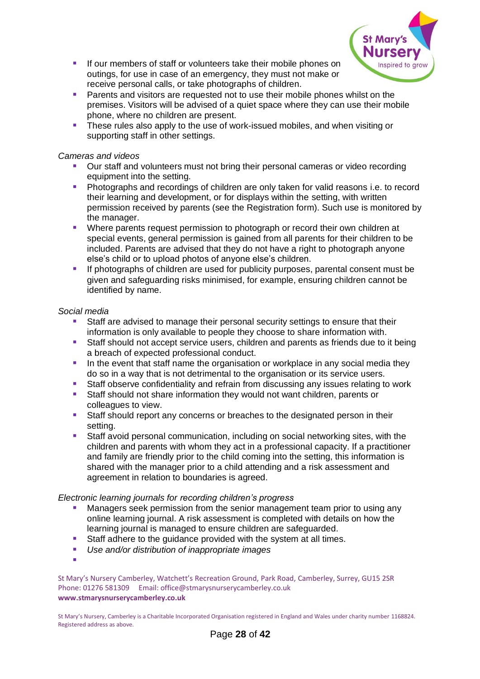

- If our members of staff or volunteers take their mobile phones on outings, for use in case of an emergency, they must not make or receive personal calls, or take photographs of children.
- Parents and visitors are requested not to use their mobile phones whilst on the premises. Visitors will be advised of a quiet space where they can use their mobile phone, where no children are present.
- **E** These rules also apply to the use of work-issued mobiles, and when visiting or supporting staff in other settings.

#### *Cameras and videos*

- Our staff and volunteers must not bring their personal cameras or video recording equipment into the setting.
- **Photographs and recordings of children are only taken for valid reasons i.e. to record** their learning and development, or for displays within the setting, with written permission received by parents (see the Registration form). Such use is monitored by the manager.
- Where parents request permission to photograph or record their own children at special events, general permission is gained from all parents for their children to be included. Parents are advised that they do not have a right to photograph anyone else's child or to upload photos of anyone else's children.
- **E** If photographs of children are used for publicity purposes, parental consent must be given and safeguarding risks minimised, for example, ensuring children cannot be identified by name.

#### *Social media*

- Staff are advised to manage their personal security settings to ensure that their information is only available to people they choose to share information with.
- **EXECT** Staff should not accept service users, children and parents as friends due to it being a breach of expected professional conduct.
- **•** In the event that staff name the organisation or workplace in any social media they do so in a way that is not detrimental to the organisation or its service users.
- Staff observe confidentiality and refrain from discussing any issues relating to work
- Staff should not share information they would not want children, parents or colleagues to view.
- Staff should report any concerns or breaches to the designated person in their setting.
- **EXECT** Staff avoid personal communication, including on social networking sites, with the children and parents with whom they act in a professional capacity. If a practitioner and family are friendly prior to the child coming into the setting, this information is shared with the manager prior to a child attending and a risk assessment and agreement in relation to boundaries is agreed.

#### *Electronic learning journals for recording children's progress*

- Managers seek permission from the senior management team prior to using any online learning journal. A risk assessment is completed with details on how the learning journal is managed to ensure children are safeguarded.
- Staff adhere to the guidance provided with the system at all times.
- *Use and/or distribution of inappropriate images*
- ▪

St Mary's Nursery Camberley, Watchett's Recreation Ground, Park Road, Camberley, Surrey, GU15 2SR Phone: 01276 581309 Email: office@stmarysnurserycamberley.co.uk **www.stmarysnurserycamberley.co.uk**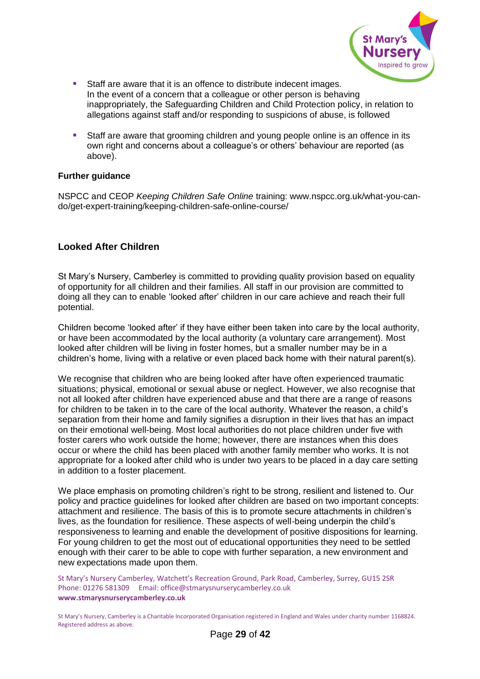

- Staff are aware that it is an offence to distribute indecent images. In the event of a concern that a colleague or other person is behaving inappropriately, the Safeguarding Children and Child Protection policy, in relation to allegations against staff and/or responding to suspicions of abuse, is followed
- **E** Staff are aware that grooming children and young people online is an offence in its own right and concerns about a colleague's or others' behaviour are reported (as above).

#### **Further guidance**

NSPCC and CEOP *Keeping Children Safe Online* training: www.nspcc.org.uk/what-you-cando/get-expert-training/keeping-children-safe-online-course/

## <span id="page-28-0"></span>**Looked After Children**

St Mary's Nursery, Camberley is committed to providing quality provision based on equality of opportunity for all children and their families. All staff in our provision are committed to doing all they can to enable 'looked after' children in our care achieve and reach their full potential.

Children become 'looked after' if they have either been taken into care by the local authority, or have been accommodated by the local authority (a voluntary care arrangement). Most looked after children will be living in foster homes, but a smaller number may be in a children's home, living with a relative or even placed back home with their natural parent(s).

We recognise that children who are being looked after have often experienced traumatic situations; physical, emotional or sexual abuse or neglect. However, we also recognise that not all looked after children have experienced abuse and that there are a range of reasons for children to be taken in to the care of the local authority. Whatever the reason, a child's separation from their home and family signifies a disruption in their lives that has an impact on their emotional well-being. Most local authorities do not place children under five with foster carers who work outside the home; however, there are instances when this does occur or where the child has been placed with another family member who works. It is not appropriate for a looked after child who is under two years to be placed in a day care setting in addition to a foster placement.

We place emphasis on promoting children's right to be strong, resilient and listened to. Our policy and practice guidelines for looked after children are based on two important concepts: attachment and resilience. The basis of this is to promote secure attachments in children's lives, as the foundation for resilience. These aspects of well-being underpin the child's responsiveness to learning and enable the development of positive dispositions for learning. For young children to get the most out of educational opportunities they need to be settled enough with their carer to be able to cope with further separation, a new environment and new expectations made upon them.

St Mary's Nursery Camberley, Watchett's Recreation Ground, Park Road, Camberley, Surrey, GU15 2SR Phone: 01276 581309 Email: office@stmarysnurserycamberley.co.uk **www.stmarysnurserycamberley.co.uk**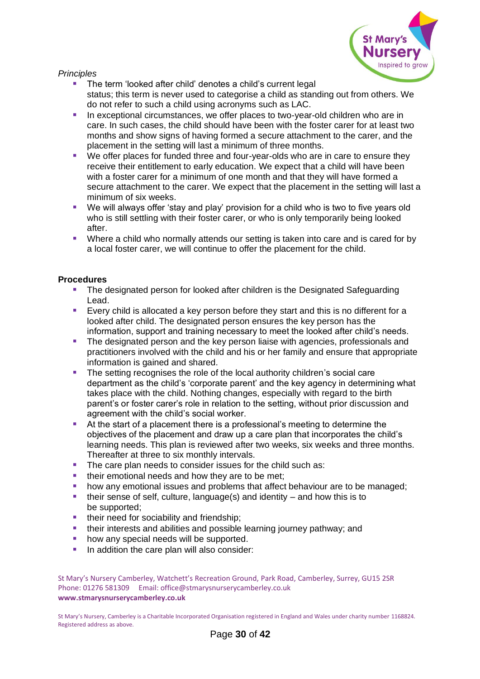

*Principles*

- The term 'looked after child' denotes a child's current legal status; this term is never used to categorise a child as standing out from others. We do not refer to such a child using acronyms such as LAC.
- **E** In exceptional circumstances, we offer places to two-year-old children who are in care. In such cases, the child should have been with the foster carer for at least two months and show signs of having formed a secure attachment to the carer, and the placement in the setting will last a minimum of three months.
- We offer places for funded three and four-year-olds who are in care to ensure they receive their entitlement to early education. We expect that a child will have been with a foster carer for a minimum of one month and that they will have formed a secure attachment to the carer. We expect that the placement in the setting will last a minimum of six weeks.
- We will always offer 'stay and play' provision for a child who is two to five years old who is still settling with their foster carer, or who is only temporarily being looked after.
- Where a child who normally attends our setting is taken into care and is cared for by a local foster carer, we will continue to offer the placement for the child.

#### **Procedures**

- The designated person for looked after children is the Designated Safeguarding Lead.
- Every child is allocated a key person before they start and this is no different for a looked after child. The designated person ensures the key person has the information, support and training necessary to meet the looked after child's needs.
- The designated person and the key person liaise with agencies, professionals and practitioners involved with the child and his or her family and ensure that appropriate information is gained and shared.
- **•** The setting recognises the role of the local authority children's social care department as the child's 'corporate parent' and the key agency in determining what takes place with the child. Nothing changes, especially with regard to the birth parent's or foster carer's role in relation to the setting, without prior discussion and agreement with the child's social worker.
- At the start of a placement there is a professional's meeting to determine the objectives of the placement and draw up a care plan that incorporates the child's learning needs. This plan is reviewed after two weeks, six weeks and three months. Thereafter at three to six monthly intervals.
- The care plan needs to consider issues for the child such as:
- their emotional needs and how they are to be met;
- how any emotional issues and problems that affect behaviour are to be managed;
- $\blacksquare$  their sense of self, culture, language(s) and identity and how this is to be supported;
- their need for sociability and friendship:
- their interests and abilities and possible learning journey pathway; and
- how any special needs will be supported.
- **In addition the care plan will also consider:**

St Mary's Nursery Camberley, Watchett's Recreation Ground, Park Road, Camberley, Surrey, GU15 2SR Phone: 01276 581309 Email: office@stmarysnurserycamberley.co.uk **www.stmarysnurserycamberley.co.uk**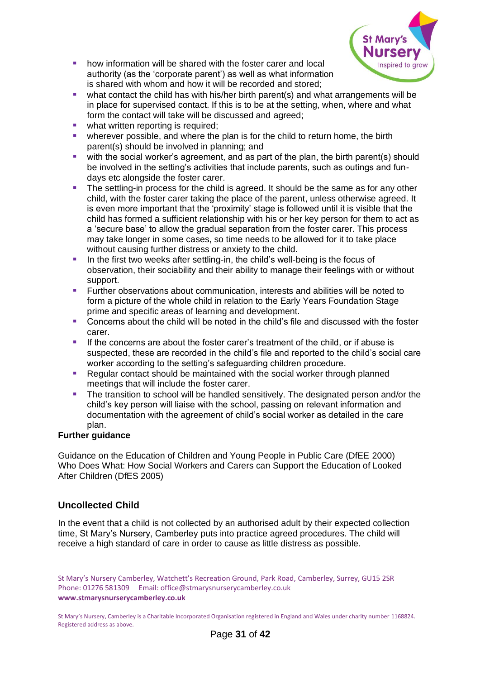

- how information will be shared with the foster carer and local authority (as the 'corporate parent') as well as what information is shared with whom and how it will be recorded and stored;
- what contact the child has with his/her birth parent(s) and what arrangements will be in place for supervised contact. If this is to be at the setting, when, where and what form the contact will take will be discussed and agreed;
- **■** what written reporting is required;
- wherever possible, and where the plan is for the child to return home, the birth parent(s) should be involved in planning; and
- with the social worker's agreement, and as part of the plan, the birth parent(s) should be involved in the setting's activities that include parents, such as outings and fundays etc alongside the foster carer.
- **•** The settling-in process for the child is agreed. It should be the same as for any other child, with the foster carer taking the place of the parent, unless otherwise agreed. It is even more important that the 'proximity' stage is followed until it is visible that the child has formed a sufficient relationship with his or her key person for them to act as a 'secure base' to allow the gradual separation from the foster carer. This process may take longer in some cases, so time needs to be allowed for it to take place without causing further distress or anxiety to the child.
- **EXTE:** In the first two weeks after settling-in, the child's well-being is the focus of observation, their sociability and their ability to manage their feelings with or without support.
- Further observations about communication, interests and abilities will be noted to form a picture of the whole child in relation to the Early Years Foundation Stage prime and specific areas of learning and development.
- Concerns about the child will be noted in the child's file and discussed with the foster carer.
- **.** If the concerns are about the foster carer's treatment of the child, or if abuse is suspected, these are recorded in the child's file and reported to the child's social care worker according to the setting's safeguarding children procedure.
- Regular contact should be maintained with the social worker through planned meetings that will include the foster carer.
- The transition to school will be handled sensitively. The designated person and/or the child's key person will liaise with the school, passing on relevant information and documentation with the agreement of child's social worker as detailed in the care plan.

#### **Further guidance**

Guidance on the Education of Children and Young People in Public Care (DfEE 2000) Who Does What: How Social Workers and Carers can Support the Education of Looked After Children (DfES 2005)

# **Uncollected Child**

In the event that a child is not collected by an authorised adult by their expected collection time, St Mary's Nursery, Camberley puts into practice agreed procedures. The child will receive a high standard of care in order to cause as little distress as possible.

St Mary's Nursery Camberley, Watchett's Recreation Ground, Park Road, Camberley, Surrey, GU15 2SR Phone: 01276 581309 Email: office@stmarysnurserycamberley.co.uk **www.stmarysnurserycamberley.co.uk**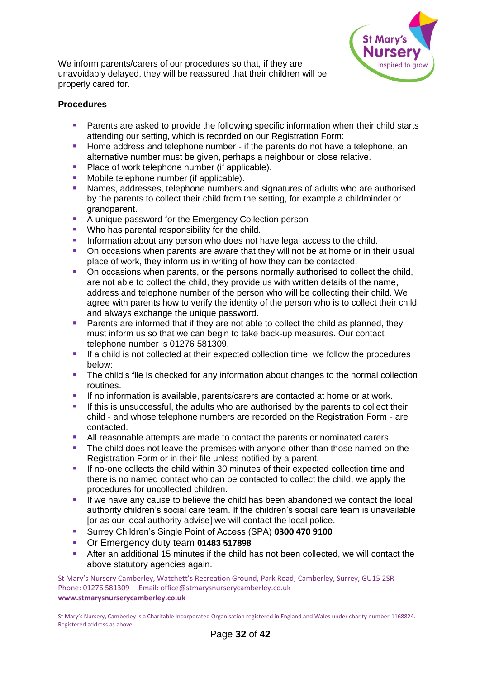

We inform parents/carers of our procedures so that, if they are unavoidably delayed, they will be reassured that their children will be properly cared for.

#### **Procedures**

- Parents are asked to provide the following specific information when their child starts attending our setting, which is recorded on our Registration Form:
- Home address and telephone number if the parents do not have a telephone, an alternative number must be given, perhaps a neighbour or close relative.
- Place of work telephone number (if applicable).
- Mobile telephone number (if applicable).
- Names, addresses, telephone numbers and signatures of adults who are authorised by the parents to collect their child from the setting, for example a childminder or grandparent.
- A unique password for the Emergency Collection person
- Who has parental responsibility for the child.
- **EXEDENT** Information about any person who does not have legal access to the child.
- On occasions when parents are aware that they will not be at home or in their usual place of work, they inform us in writing of how they can be contacted.
- **On occasions when parents, or the persons normally authorised to collect the child,** are not able to collect the child, they provide us with written details of the name, address and telephone number of the person who will be collecting their child. We agree with parents how to verify the identity of the person who is to collect their child and always exchange the unique password.
- Parents are informed that if they are not able to collect the child as planned, they must inform us so that we can begin to take back-up measures. Our contact telephone number is 01276 581309.
- If a child is not collected at their expected collection time, we follow the procedures below:
- **•** The child's file is checked for any information about changes to the normal collection routines.
- **.** If no information is available, parents/carers are contacted at home or at work.
- **.** If this is unsuccessful, the adults who are authorised by the parents to collect their child - and whose telephone numbers are recorded on the Registration Form - are contacted.
- All reasonable attempts are made to contact the parents or nominated carers.
- The child does not leave the premises with anyone other than those named on the Registration Form or in their file unless notified by a parent.
- If no-one collects the child within 30 minutes of their expected collection time and there is no named contact who can be contacted to collect the child, we apply the procedures for uncollected children.
- If we have any cause to believe the child has been abandoned we contact the local authority children's social care team. If the children's social care team is unavailable [or as our local authority advise] we will contact the local police.
- Surrey Children's Single Point of Access (SPA) **0300 470 9100**
- Or Emergency duty team **01483 517898**
- After an additional 15 minutes if the child has not been collected, we will contact the above statutory agencies again.

St Mary's Nursery Camberley, Watchett's Recreation Ground, Park Road, Camberley, Surrey, GU15 2SR Phone: 01276 581309 Email: office@stmarysnurserycamberley.co.uk **www.stmarysnurserycamberley.co.uk**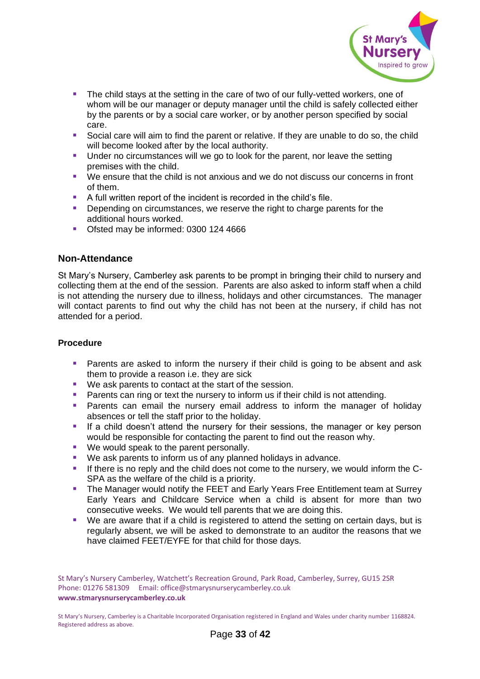

- **.** The child stays at the setting in the care of two of our fully-vetted workers, one of whom will be our manager or deputy manager until the child is safely collected either by the parents or by a social care worker, or by another person specified by social care.
- Social care will aim to find the parent or relative. If they are unable to do so, the child will become looked after by the local authority.
- Under no circumstances will we go to look for the parent, nor leave the setting premises with the child.
- We ensure that the child is not anxious and we do not discuss our concerns in front of them.
- A full written report of the incident is recorded in the child's file.
- **•** Depending on circumstances, we reserve the right to charge parents for the additional hours worked.
- Ofsted may be informed: 0300 124 4666

#### **Non-Attendance**

St Mary's Nursery, Camberley ask parents to be prompt in bringing their child to nursery and collecting them at the end of the session. Parents are also asked to inform staff when a child is not attending the nursery due to illness, holidays and other circumstances. The manager will contact parents to find out why the child has not been at the nursery, if child has not attended for a period.

#### **Procedure**

- **E** Parents are asked to inform the nursery if their child is going to be absent and ask them to provide a reason i.e. they are sick
- We ask parents to contact at the start of the session.
- **Parents can ring or text the nursery to inform us if their child is not attending.**
- Parents can email the nursery email address to inform the manager of holiday absences or tell the staff prior to the holiday.
- **E** If a child doesn't attend the nursery for their sessions, the manager or key person would be responsible for contacting the parent to find out the reason why.
- We would speak to the parent personally.
- We ask parents to inform us of any planned holidays in advance.
- **■** If there is no reply and the child does not come to the nursery, we would inform the C-SPA as the welfare of the child is a priority.
- The Manager would notify the FEET and Early Years Free Entitlement team at Surrey Early Years and Childcare Service when a child is absent for more than two consecutive weeks. We would tell parents that we are doing this.
- We are aware that if a child is registered to attend the setting on certain days, but is regularly absent, we will be asked to demonstrate to an auditor the reasons that we have claimed FEET/EYFE for that child for those days.

St Mary's Nursery Camberley, Watchett's Recreation Ground, Park Road, Camberley, Surrey, GU15 2SR Phone: 01276 581309 Email: office@stmarysnurserycamberley.co.uk **www.stmarysnurserycamberley.co.uk**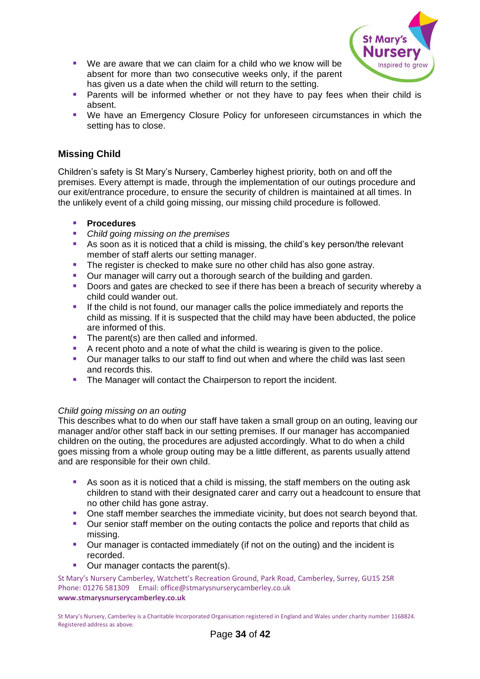

- We are aware that we can claim for a child who we know will be absent for more than two consecutive weeks only, if the parent has given us a date when the child will return to the setting.
- Parents will be informed whether or not they have to pay fees when their child is absent.
- We have an Emergency Closure Policy for unforeseen circumstances in which the setting has to close.

# **Missing Child**

Children's safety is St Mary's Nursery, Camberley highest priority, both on and off the premises. Every attempt is made, through the implementation of our outings procedure and our exit/entrance procedure, to ensure the security of children is maintained at all times. In the unlikely event of a child going missing, our missing child procedure is followed.

#### ▪ **Procedures**

- *Child going missing on the premises*
- As soon as it is noticed that a child is missing, the child's key person/the relevant member of staff alerts our setting manager.
- **The register is checked to make sure no other child has also gone astray.**
- Our manager will carry out a thorough search of the building and garden.
- Doors and gates are checked to see if there has been a breach of security whereby a child could wander out.
- **.** If the child is not found, our manager calls the police immediately and reports the child as missing. If it is suspected that the child may have been abducted, the police are informed of this.
- The parent(s) are then called and informed.
- A recent photo and a note of what the child is wearing is given to the police.
- Our manager talks to our staff to find out when and where the child was last seen and records this.
- The Manager will contact the Chairperson to report the incident.

## *Child going missing on an outing*

This describes what to do when our staff have taken a small group on an outing, leaving our manager and/or other staff back in our setting premises. If our manager has accompanied children on the outing, the procedures are adjusted accordingly. What to do when a child goes missing from a whole group outing may be a little different, as parents usually attend and are responsible for their own child.

- As soon as it is noticed that a child is missing, the staff members on the outing ask children to stand with their designated carer and carry out a headcount to ensure that no other child has gone astray.
- **One staff member searches the immediate vicinity, but does not search beyond that.**
- Our senior staff member on the outing contacts the police and reports that child as missing.
- Our manager is contacted immediately (if not on the outing) and the incident is recorded.
- Our manager contacts the parent(s).

St Mary's Nursery Camberley, Watchett's Recreation Ground, Park Road, Camberley, Surrey, GU15 2SR Phone: 01276 581309 Email: office@stmarysnurserycamberley.co.uk **www.stmarysnurserycamberley.co.uk**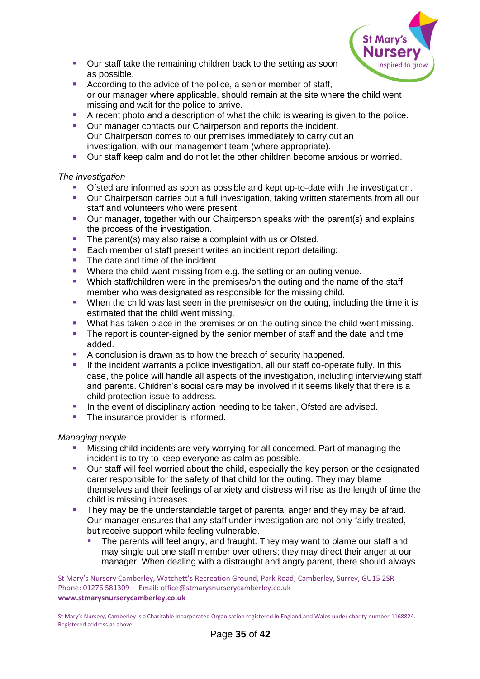

- Our staff take the remaining children back to the setting as soon as possible.
- According to the advice of the police, a senior member of staff, or our manager where applicable, should remain at the site where the child went missing and wait for the police to arrive.
- A recent photo and a description of what the child is wearing is given to the police.
- Our manager contacts our Chairperson and reports the incident. Our Chairperson comes to our premises immediately to carry out an investigation, with our management team (where appropriate).
- Our staff keep calm and do not let the other children become anxious or worried.

#### *The investigation*

- Ofsted are informed as soon as possible and kept up-to-date with the investigation.
- Our Chairperson carries out a full investigation, taking written statements from all our staff and volunteers who were present.
- Our manager, together with our Chairperson speaks with the parent(s) and explains the process of the investigation.
- The parent(s) may also raise a complaint with us or Ofsted.
- Each member of staff present writes an incident report detailing:
- The date and time of the incident.
- Where the child went missing from e.g. the setting or an outing venue.
- Which staff/children were in the premises/on the outing and the name of the staff member who was designated as responsible for the missing child.
- **•** When the child was last seen in the premises/or on the outing, including the time it is estimated that the child went missing.
- **•** What has taken place in the premises or on the outing since the child went missing.
- **•** The report is counter-signed by the senior member of staff and the date and time added.
- A conclusion is drawn as to how the breach of security happened.
- If the incident warrants a police investigation, all our staff co-operate fully. In this case, the police will handle all aspects of the investigation, including interviewing staff and parents. Children's social care may be involved if it seems likely that there is a child protection issue to address.
- **•** In the event of disciplinary action needing to be taken, Ofsted are advised.
- The insurance provider is informed.

#### *Managing people*

- Missing child incidents are very worrying for all concerned. Part of managing the incident is to try to keep everyone as calm as possible.
- Our staff will feel worried about the child, especially the key person or the designated carer responsible for the safety of that child for the outing. They may blame themselves and their feelings of anxiety and distress will rise as the length of time the child is missing increases.
- **They may be the understandable target of parental anger and they may be afraid.** Our manager ensures that any staff under investigation are not only fairly treated, but receive support while feeling vulnerable.
	- The parents will feel angry, and fraught. They may want to blame our staff and may single out one staff member over others; they may direct their anger at our manager. When dealing with a distraught and angry parent, there should always

St Mary's Nursery Camberley, Watchett's Recreation Ground, Park Road, Camberley, Surrey, GU15 2SR Phone: 01276 581309 Email: office@stmarysnurserycamberley.co.uk **www.stmarysnurserycamberley.co.uk**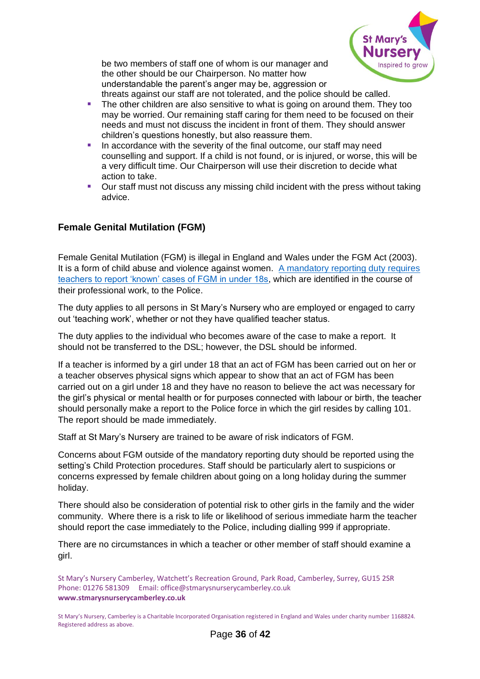

be two members of staff one of whom is our manager and the other should be our Chairperson. No matter how understandable the parent's anger may be, aggression or threats against our staff are not tolerated, and the police should be called.

- **•** The other children are also sensitive to what is going on around them. They too may be worried. Our remaining staff caring for them need to be focused on their needs and must not discuss the incident in front of them. They should answer children's questions honestly, but also reassure them.
- In accordance with the severity of the final outcome, our staff may need counselling and support. If a child is not found, or is injured, or worse, this will be a very difficult time. Our Chairperson will use their discretion to decide what action to take.
- Our staff must not discuss any missing child incident with the press without taking advice.

# <span id="page-35-0"></span>**Female Genital Mutilation (FGM)**

Female Genital Mutilation (FGM) is illegal in England and Wales under the FGM Act (2003). It is a form of child abuse and violence against women. A mandatory reporting duty requires [teachers to report 'known' cases of FGM in under 18s,](https://www.gov.uk/government/publications/mandatory-reporting-of-female-genital-mutilation-procedural-information) which are identified in the course of their professional work, to the Police.

The duty applies to all persons in St Mary's Nursery who are employed or engaged to carry out 'teaching work', whether or not they have qualified teacher status.

The duty applies to the individual who becomes aware of the case to make a report. It should not be transferred to the DSL; however, the DSL should be informed.

If a teacher is informed by a girl under 18 that an act of FGM has been carried out on her or a teacher observes physical signs which appear to show that an act of FGM has been carried out on a girl under 18 and they have no reason to believe the act was necessary for the girl's physical or mental health or for purposes connected with labour or birth, the teacher should personally make a report to the Police force in which the girl resides by calling 101. The report should be made immediately.

Staff at St Mary's Nursery are trained to be aware of risk indicators of FGM.

Concerns about FGM outside of the mandatory reporting duty should be reported using the setting's Child Protection procedures. Staff should be particularly alert to suspicions or concerns expressed by female children about going on a long holiday during the summer holiday.

There should also be consideration of potential risk to other girls in the family and the wider community. Where there is a risk to life or likelihood of serious immediate harm the teacher should report the case immediately to the Police, including dialling 999 if appropriate.

There are no circumstances in which a teacher or other member of staff should examine a girl.

St Mary's Nursery Camberley, Watchett's Recreation Ground, Park Road, Camberley, Surrey, GU15 2SR Phone: 01276 581309 Email: office@stmarysnurserycamberley.co.uk **www.stmarysnurserycamberley.co.uk**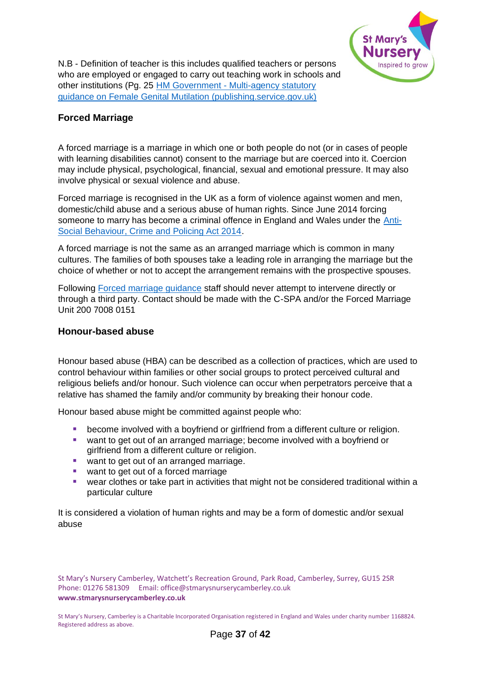

N.B - Definition of teacher is this includes qualified teachers or persons who are employed or engaged to carry out teaching work in schools and other institutions (Pg. 25 HM Government - [Multi-agency statutory](https://assets.publishing.service.gov.uk/government/uploads/system/uploads/attachment_data/file/912996/6-1914-HO-Multi_Agency_Statutory_Guidance_on_FGM__-_MASTER_V7_-_FINAL__July_2020.pdf)  [guidance on Female Genital Mutilation \(publishing.service.gov.uk\)](https://assets.publishing.service.gov.uk/government/uploads/system/uploads/attachment_data/file/912996/6-1914-HO-Multi_Agency_Statutory_Guidance_on_FGM__-_MASTER_V7_-_FINAL__July_2020.pdf)

# <span id="page-36-0"></span>**Forced Marriage**

A forced marriage is a marriage in which one or both people do not (or in cases of people with learning disabilities cannot) consent to the marriage but are coerced into it. Coercion may include physical, psychological, financial, sexual and emotional pressure. It may also involve physical or sexual violence and abuse.

Forced marriage is recognised in the UK as a form of violence against women and men, domestic/child abuse and a serious abuse of human rights. Since June 2014 forcing someone to marry has become a criminal offence in England and Wales under the [Anti-](https://www.legislation.gov.uk/ukpga/2014/12/contents)[Social Behaviour, Crime and Policing Act 2014.](https://www.legislation.gov.uk/ukpga/2014/12/contents)

A forced marriage is not the same as an arranged marriage which is common in many cultures. The families of both spouses take a leading role in arranging the marriage but the choice of whether or not to accept the arrangement remains with the prospective spouses.

Following [Forced marriage guidance](https://www.gov.uk/guidance/forced-marriage) staff should never attempt to intervene directly or through a third party. Contact should be made with the C-SPA and/or the Forced Marriage Unit 200 7008 0151

## <span id="page-36-1"></span>**Honour-based abuse**

Honour based abuse (HBA) can be described as a collection of practices, which are used to control behaviour within families or other social groups to protect perceived cultural and religious beliefs and/or honour. Such violence can occur when perpetrators perceive that a relative has shamed the family and/or community by breaking their honour code.

Honour based abuse might be committed against people who:

- become involved with a boyfriend or girlfriend from a different culture or religion.
- want to get out of an arranged marriage; become involved with a boyfriend or girlfriend from a different culture or religion.
- want to get out of an arranged marriage.
- want to get out of a forced marriage
- wear clothes or take part in activities that might not be considered traditional within a particular culture

It is considered a violation of human rights and may be a form of domestic and/or sexual abuse

St Mary's Nursery Camberley, Watchett's Recreation Ground, Park Road, Camberley, Surrey, GU15 2SR Phone: 01276 581309 Email: office@stmarysnurserycamberley.co.uk **www.stmarysnurserycamberley.co.uk**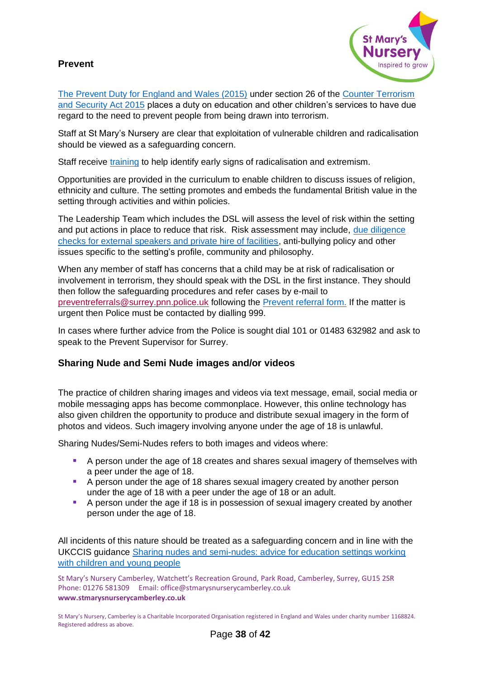# <span id="page-37-0"></span>**Prevent**



[The Prevent Duty for England and Wales \(2015\)](https://www.gov.uk/government/publications/protecting-children-from-radicalisation-the-prevent-duty) under section 26 of the [Counter Terrorism](https://www.legislation.gov.uk/ukpga/2015/6/contents)  [and Security Act 2015](https://www.legislation.gov.uk/ukpga/2015/6/contents) places a duty on education and other children's services to have due regard to the need to prevent people from being drawn into terrorism.

Staff at St Mary's Nursery are clear that exploitation of vulnerable children and radicalisation should be viewed as a safeguarding concern.

Staff receive [training](https://www.elearning.prevent.homeoffice.gov.uk/edu/screen1.html) to help identify early signs of radicalisation and extremism.

Opportunities are provided in the curriculum to enable children to discuss issues of religion, ethnicity and culture. The setting promotes and embeds the fundamental British value in the setting through activities and within policies.

The Leadership Team which includes the DSL will assess the level of risk within the setting and put actions in place to reduce that risk. Risk assessment may include, [due diligence](https://www.surreycc.gov.uk/__data/assets/word_doc/0008/154655/Due-diligence-checks-for-External-Speakers-and-Private-Hire-of-Facilities-January-2018.docx)  [checks for external speakers and private hire of facilities,](https://www.surreycc.gov.uk/__data/assets/word_doc/0008/154655/Due-diligence-checks-for-External-Speakers-and-Private-Hire-of-Facilities-January-2018.docx) anti-bullying policy and other issues specific to the setting's profile, community and philosophy.

When any member of staff has concerns that a child may be at risk of radicalisation or involvement in terrorism, they should speak with the DSL in the first instance. They should then follow the safeguarding procedures and refer cases by e-mail to [preventreferrals@surrey.pnn.police.uk](mailto:preventreferrals@surrey.pnn.police.uk) following the [Prevent referral form.](https://www.healthysurrey.org.uk/__data/assets/word_doc/0007/196432/Prevent-National-Referral-Form-V3-New-Surrey-version.docx) If the matter is urgent then Police must be contacted by dialling 999.

In cases where further advice from the Police is sought dial 101 or 01483 632982 and ask to speak to the Prevent Supervisor for Surrey.

# <span id="page-37-1"></span>**Sharing Nude and Semi Nude images and/or videos**

The practice of children sharing images and videos via text message, email, social media or mobile messaging apps has become commonplace. However, this online technology has also given children the opportunity to produce and distribute sexual imagery in the form of photos and videos. Such imagery involving anyone under the age of 18 is unlawful.

Sharing Nudes/Semi-Nudes refers to both images and videos where:

- A person under the age of 18 creates and shares sexual imagery of themselves with a peer under the age of 18.
- A person under the age of 18 shares sexual imagery created by another person under the age of 18 with a peer under the age of 18 or an adult.
- A person under the age if 18 is in possession of sexual imagery created by another person under the age of 18.

All incidents of this nature should be treated as a safeguarding concern and in line with the UKCCIS guidance [Sharing nudes and semi-nudes: advice for education settings working](https://www.gov.uk/government/publications/sharing-nudes-and-semi-nudes-advice-for-education-settings-working-with-children-and-young-people/sharing-nudes-and-semi-nudes-advice-for-education-settings-working-with-children-and-young-people)  [with children and young people](https://www.gov.uk/government/publications/sharing-nudes-and-semi-nudes-advice-for-education-settings-working-with-children-and-young-people/sharing-nudes-and-semi-nudes-advice-for-education-settings-working-with-children-and-young-people)

St Mary's Nursery Camberley, Watchett's Recreation Ground, Park Road, Camberley, Surrey, GU15 2SR Phone: 01276 581309 Email: office@stmarysnurserycamberley.co.uk **www.stmarysnurserycamberley.co.uk**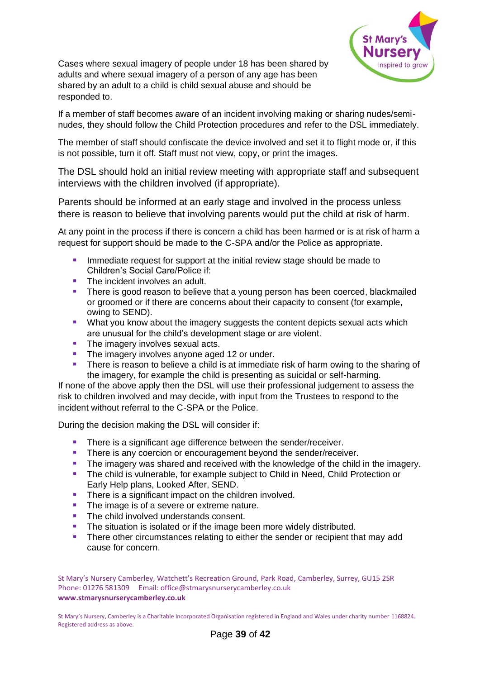

Cases where sexual imagery of people under 18 has been shared by adults and where sexual imagery of a person of any age has been shared by an adult to a child is child sexual abuse and should be responded to.

If a member of staff becomes aware of an incident involving making or sharing nudes/seminudes, they should follow the Child Protection procedures and refer to the DSL immediately.

The member of staff should confiscate the device involved and set it to flight mode or, if this is not possible, turn it off. Staff must not view, copy, or print the images.

The DSL should hold an initial review meeting with appropriate staff and subsequent interviews with the children involved (if appropriate).

Parents should be informed at an early stage and involved in the process unless there is reason to believe that involving parents would put the child at risk of harm.

At any point in the process if there is concern a child has been harmed or is at risk of harm a request for support should be made to the C-SPA and/or the Police as appropriate.

- **E** Immediate request for support at the initial review stage should be made to Children's Social Care/Police if:
- The incident involves an adult
- **•** There is good reason to believe that a young person has been coerced, blackmailed or groomed or if there are concerns about their capacity to consent (for example, owing to SEND).
- What you know about the imagery suggests the content depicts sexual acts which are unusual for the child's development stage or are violent.
- The imagery involves sexual acts.
- The imagery involves anyone aged 12 or under.
- There is reason to believe a child is at immediate risk of harm owing to the sharing of the imagery, for example the child is presenting as suicidal or self-harming.

If none of the above apply then the DSL will use their professional judgement to assess the risk to children involved and may decide, with input from the Trustees to respond to the incident without referral to the C-SPA or the Police.

During the decision making the DSL will consider if:

- There is a significant age difference between the sender/receiver.
- **EXECT** There is any coercion or encouragement beyond the sender/receiver.
- The imagery was shared and received with the knowledge of the child in the imagery.
- The child is vulnerable, for example subject to Child in Need, Child Protection or Early Help plans, Looked After, SEND.
- There is a significant impact on the children involved.
- The image is of a severe or extreme nature.
- The child involved understands consent.
- **•** The situation is isolated or if the image been more widely distributed.
- **There other circumstances relating to either the sender or recipient that may add** cause for concern.

St Mary's Nursery Camberley, Watchett's Recreation Ground, Park Road, Camberley, Surrey, GU15 2SR Phone: 01276 581309 Email: office@stmarysnurserycamberley.co.uk **www.stmarysnurserycamberley.co.uk**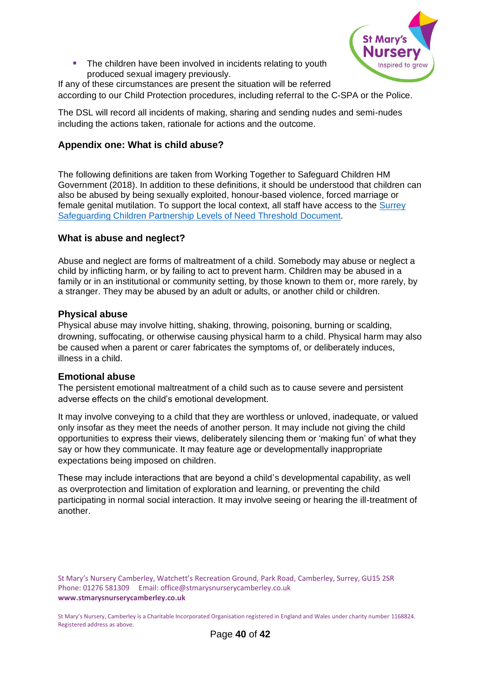

■ The children have been involved in incidents relating to youth produced sexual imagery previously.

If any of these circumstances are present the situation will be referred according to our Child Protection procedures, including referral to the C-SPA or the Police.

The DSL will record all incidents of making, sharing and sending nudes and semi-nudes including the actions taken, rationale for actions and the outcome.

## <span id="page-39-0"></span>**Appendix one: What is child abuse?**

The following definitions are taken from Working Together to Safeguard Children HM Government (2018). In addition to these definitions, it should be understood that children can also be abused by being sexually exploited, honour-based violence, forced marriage or female genital mutilation. To support the local context, all staff have access to the [Surrey](https://www.surreyscb.org.uk/wp-content/uploads/2018/12/Effective-family-resilience-SSCB-Final-March-2019-1.pdf)  [Safeguarding Children Partnership Levels of Need Threshold](https://www.surreyscb.org.uk/wp-content/uploads/2018/12/Effective-family-resilience-SSCB-Final-March-2019-1.pdf) Document.

## <span id="page-39-1"></span>**What is abuse and neglect?**

Abuse and neglect are forms of maltreatment of a child. Somebody may abuse or neglect a child by inflicting harm, or by failing to act to prevent harm. Children may be abused in a family or in an institutional or community setting, by those known to them or, more rarely, by a stranger. They may be abused by an adult or adults, or another child or children.

#### <span id="page-39-2"></span>**Physical abuse**

Physical abuse may involve hitting, shaking, throwing, poisoning, burning or scalding, drowning, suffocating, or otherwise causing physical harm to a child. Physical harm may also be caused when a parent or carer fabricates the symptoms of, or deliberately induces, illness in a child.

#### <span id="page-39-3"></span>**Emotional abuse**

The persistent emotional maltreatment of a child such as to cause severe and persistent adverse effects on the child's emotional development.

It may involve conveying to a child that they are worthless or unloved, inadequate, or valued only insofar as they meet the needs of another person. It may include not giving the child opportunities to express their views, deliberately silencing them or 'making fun' of what they say or how they communicate. It may feature age or developmentally inappropriate expectations being imposed on children.

These may include interactions that are beyond a child's developmental capability, as well as overprotection and limitation of exploration and learning, or preventing the child participating in normal social interaction. It may involve seeing or hearing the ill-treatment of another.

St Mary's Nursery Camberley, Watchett's Recreation Ground, Park Road, Camberley, Surrey, GU15 2SR Phone: 01276 581309 Email: office@stmarysnurserycamberley.co.uk **www.stmarysnurserycamberley.co.uk**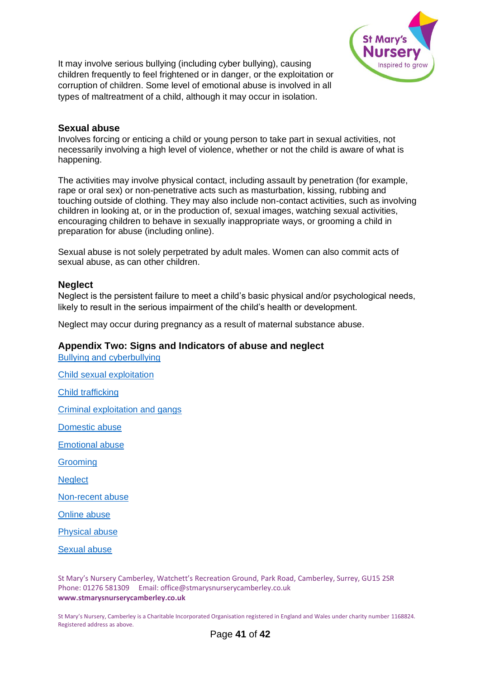

It may involve serious bullying (including cyber bullying), causing children frequently to feel frightened or in danger, or the exploitation or corruption of children. Some level of emotional abuse is involved in all types of maltreatment of a child, although it may occur in isolation.

#### <span id="page-40-0"></span>**Sexual abuse**

Involves forcing or enticing a child or young person to take part in sexual activities, not necessarily involving a high level of violence, whether or not the child is aware of what is happening.

The activities may involve physical contact, including assault by penetration (for example, rape or oral sex) or non-penetrative acts such as masturbation, kissing, rubbing and touching outside of clothing. They may also include non-contact activities, such as involving children in looking at, or in the production of, sexual images, watching sexual activities, encouraging children to behave in sexually inappropriate ways, or grooming a child in preparation for abuse (including online).

Sexual abuse is not solely perpetrated by adult males. Women can also commit acts of sexual abuse, as can other children.

#### <span id="page-40-1"></span>**Neglect**

Neglect is the persistent failure to meet a child's basic physical and/or psychological needs, likely to result in the serious impairment of the child's health or development.

Neglect may occur during pregnancy as a result of maternal substance abuse.

#### <span id="page-40-2"></span>**Appendix Two: Signs and Indicators of abuse and neglect**

[Bullying and cyberbullying](https://www.nspcc.org.uk/what-is-child-abuse/types-of-abuse/bullying-and-cyberbullying/)

[Child sexual exploitation](https://www.nspcc.org.uk/what-is-child-abuse/types-of-abuse/child-sexual-exploitation/) [Child trafficking](https://www.nspcc.org.uk/what-is-child-abuse/types-of-abuse/child-trafficking/)  [Criminal exploitation and gangs](https://www.nspcc.org.uk/what-is-child-abuse/types-of-abuse/gangs-criminal-exploitation/)

[Domestic abuse](https://www.nspcc.org.uk/what-is-child-abuse/types-of-abuse/domestic-abuse/)

[Emotional abuse](https://www.nspcc.org.uk/what-is-child-abuse/types-of-abuse/emotional-abuse/)

**Grooming** 

**[Neglect](https://www.nspcc.org.uk/what-is-child-abuse/types-of-abuse/neglect/)** 

[Non-recent abuse](https://www.nspcc.org.uk/what-is-child-abuse/types-of-abuse/non-recent-abuse/)

[Online abuse](https://www.nspcc.org.uk/what-is-child-abuse/types-of-abuse/online-abuse/)

[Physical abuse](https://www.nspcc.org.uk/what-is-child-abuse/types-of-abuse/physical-abuse/)

[Sexual abuse](https://www.nspcc.org.uk/what-is-child-abuse/types-of-abuse/child-sexual-abuse/) 

St Mary's Nursery Camberley, Watchett's Recreation Ground, Park Road, Camberley, Surrey, GU15 2SR Phone: 01276 581309 Email: office@stmarysnurserycamberley.co.uk **www.stmarysnurserycamberley.co.uk**